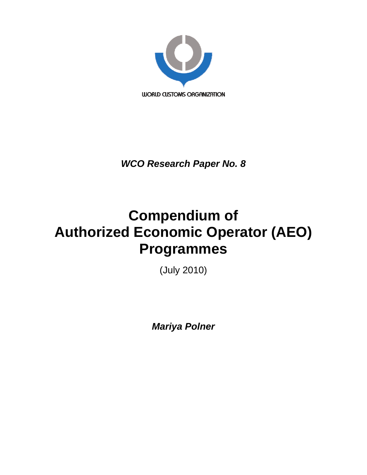

*WCO Research Paper No. 8* 

# **Compendium of Authorized Economic Operator (AEO) Programmes**

(July 2010)

*Mariya Polner*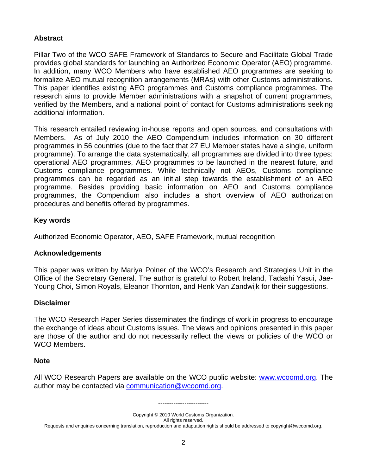#### **Abstract**

Pillar Two of the WCO SAFE Framework of Standards to Secure and Facilitate Global Trade provides global standards for launching an Authorized Economic Operator (AEO) programme. In addition, many WCO Members who have established AEO programmes are seeking to formalize AEO mutual recognition arrangements (MRAs) with other Customs administrations. This paper identifies existing AEO programmes and Customs compliance programmes. The research aims to provide Member administrations with a snapshot of current programmes, verified by the Members, and a national point of contact for Customs administrations seeking additional information.

This research entailed reviewing in-house reports and open sources, and consultations with Members. As of July 2010 the AEO Compendium includes information on 30 different programmes in 56 countries (due to the fact that 27 EU Member states have a single, uniform programme). To arrange the data systematically, all programmes are divided into three types: operational AEO programmes, AEO programmes to be launched in the nearest future, and Customs compliance programmes. While technically not AEOs, Customs compliance programmes can be regarded as an initial step towards the establishment of an AEO programme. Besides providing basic information on AEO and Customs compliance programmes, the Compendium also includes a short overview of AEO authorization procedures and benefits offered by programmes.

#### **Key words**

Authorized Economic Operator, AEO, SAFE Framework, mutual recognition

#### **Acknowledgements**

This paper was written by Mariya Polner of the WCO's Research and Strategies Unit in the Office of the Secretary General. The author is grateful to Robert Ireland, Tadashi Yasui, Jae-Young Choi, Simon Royals, Eleanor Thornton, and Henk Van Zandwijk for their suggestions.

#### **Disclaimer**

The WCO Research Paper Series disseminates the findings of work in progress to encourage the exchange of ideas about Customs issues. The views and opinions presented in this paper are those of the author and do not necessarily reflect the views or policies of the WCO or WCO Members.

#### **Note**

All WCO Research Papers are available on the WCO public website: www.wcoomd.org. The author may be contacted via communication@wcoomd.org.

Copyright © 2010 World Customs Organization. All rights reserved. Requests and enquiries concerning translation, reproduction and adaptation rights should be addressed to copyright@wcoomd.org.

-----------------------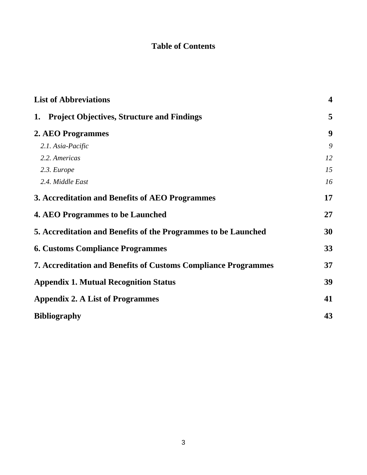### **Table of Contents**

| <b>List of Abbreviations</b>                                          | $\overline{\mathbf{4}}$ |
|-----------------------------------------------------------------------|-------------------------|
| 1. Project Objectives, Structure and Findings                         | 5                       |
| 2. AEO Programmes                                                     | 9                       |
| 2.1. Asia-Pacific                                                     | 9                       |
| 2.2. Americas                                                         | 12                      |
| 2.3. Europe                                                           | 15                      |
| 2.4. Middle East                                                      | 16                      |
| 3. Accreditation and Benefits of AEO Programmes                       | 17                      |
| <b>4. AEO Programmes to be Launched</b>                               | 27                      |
| 5. Accreditation and Benefits of the Programmes to be Launched        | 30                      |
| <b>6. Customs Compliance Programmes</b>                               | 33                      |
| <b>7. Accreditation and Benefits of Customs Compliance Programmes</b> | 37                      |
| <b>Appendix 1. Mutual Recognition Status</b>                          | 39                      |
| <b>Appendix 2. A List of Programmes</b>                               | 41                      |
| <b>Bibliography</b>                                                   | 43                      |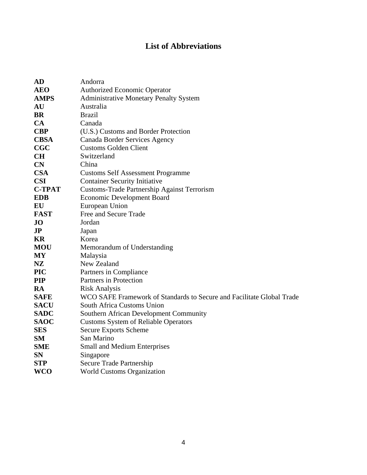### **List of Abbreviations**

| <b>AD</b>     | Andorra                                                               |
|---------------|-----------------------------------------------------------------------|
| <b>AEO</b>    | <b>Authorized Economic Operator</b>                                   |
| <b>AMPS</b>   | <b>Administrative Monetary Penalty System</b>                         |
| AU            | Australia                                                             |
| <b>BR</b>     | <b>Brazil</b>                                                         |
| CA            | Canada                                                                |
| <b>CBP</b>    | (U.S.) Customs and Border Protection                                  |
| <b>CBSA</b>   | Canada Border Services Agency                                         |
| <b>CGC</b>    | <b>Customs Golden Client</b>                                          |
| <b>CH</b>     | Switzerland                                                           |
| CN            | China                                                                 |
| <b>CSA</b>    | <b>Customs Self Assessment Programme</b>                              |
| <b>CSI</b>    | <b>Container Security Initiative</b>                                  |
| <b>C-TPAT</b> | <b>Customs-Trade Partnership Against Terrorism</b>                    |
| <b>EDB</b>    | <b>Economic Development Board</b>                                     |
| EU            | European Union                                                        |
| <b>FAST</b>   | Free and Secure Trade                                                 |
| $\bf{J}$      | Jordan                                                                |
| JP            | Japan                                                                 |
| KR            | Korea                                                                 |
| <b>MOU</b>    | Memorandum of Understanding                                           |
| <b>MY</b>     | Malaysia                                                              |
| <b>NZ</b>     | New Zealand                                                           |
| <b>PIC</b>    | Partners in Compliance                                                |
| <b>PIP</b>    | Partners in Protection                                                |
| RA            | <b>Risk Analysis</b>                                                  |
| <b>SAFE</b>   | WCO SAFE Framework of Standards to Secure and Facilitate Global Trade |
| <b>SACU</b>   | South Africa Customs Union                                            |
| <b>SADC</b>   | Southern African Development Community                                |
| <b>SAOC</b>   | <b>Customs System of Reliable Operators</b>                           |
| <b>SES</b>    | <b>Secure Exports Scheme</b>                                          |
| SM            | San Marino                                                            |
| <b>SME</b>    | <b>Small and Medium Enterprises</b>                                   |
| <b>SN</b>     | Singapore                                                             |
| <b>STP</b>    | Secure Trade Partnership                                              |
| <b>WCO</b>    | <b>World Customs Organization</b>                                     |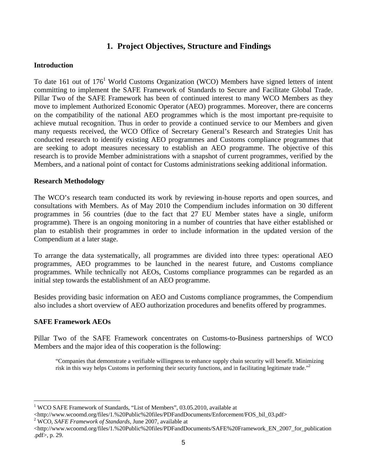### **1. Project Objectives, Structure and Findings**

#### **Introduction**

To date 161 out of 176<sup>1</sup> World Customs Organization (WCO) Members have signed letters of intent committing to implement the SAFE Framework of Standards to Secure and Facilitate Global Trade. Pillar Two of the SAFE Framework has been of continued interest to many WCO Members as they move to implement Authorized Economic Operator (AEO) programmes. Moreover, there are concerns on the compatibility of the national AEO programmes which is the most important pre-requisite to achieve mutual recognition. Thus in order to provide a continued service to our Members and given many requests received, the WCO Office of Secretary General's Research and Strategies Unit has conducted research to identify existing AEO programmes and Customs compliance programmes that are seeking to adopt measures necessary to establish an AEO programme. The objective of this research is to provide Member administrations with a snapshot of current programmes, verified by the Members, and a national point of contact for Customs administrations seeking additional information.

#### **Research Methodology**

The WCO's research team conducted its work by reviewing in-house reports and open sources, and consultations with Members. As of May 2010 the Compendium includes information on 30 different programmes in 56 countries (due to the fact that 27 EU Member states have a single, uniform programme). There is an ongoing monitoring in a number of countries that have either established or plan to establish their programmes in order to include information in the updated version of the Compendium at a later stage.

To arrange the data systematically, all programmes are divided into three types: operational AEO programmes, AEO programmes to be launched in the nearest future, and Customs compliance programmes. While technically not AEOs, Customs compliance programmes can be regarded as an initial step towards the establishment of an AEO programme.

Besides providing basic information on AEO and Customs compliance programmes, the Compendium also includes a short overview of AEO authorization procedures and benefits offered by programmes.

#### **SAFE Framework AEOs**

 $\overline{a}$ 

Pillar Two of the SAFE Framework concentrates on Customs-to-Business partnerships of WCO Members and the major idea of this cooperation is the following:

"Companies that demonstrate a verifiable willingness to enhance supply chain security will benefit. Minimizing risk in this way helps Customs in performing their security functions, and in facilitating legitimate trade."2

<sup>&</sup>lt;sup>1</sup> WCO SAFE Framework of Standards, "List of Members", 03.05.2010, available at

<sup>&</sup>lt;http://www.wcoomd.org/files/1.%20Public%20files/PDFandDocuments/Enforcement/FOS\_bil\_03.pdf>

WCO, *SAFE Framework of Standards*, June 2007, available at

<sup>&</sup>lt;http://www.wcoomd.org/files/1.%20Public%20files/PDFandDocuments/SAFE%20Framework\_EN\_2007\_for\_publication .pdf>, p. 29.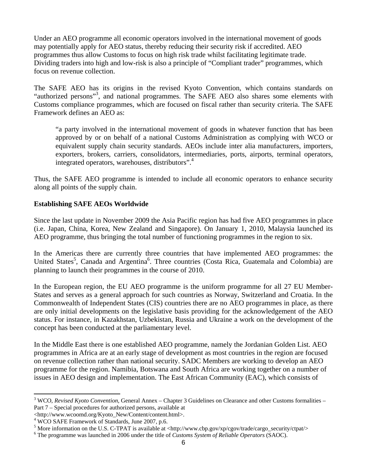Under an AEO programme all economic operators involved in the international movement of goods may potentially apply for AEO status, thereby reducing their security risk if accredited. AEO programmes thus allow Customs to focus on high risk trade whilst facilitating legitimate trade. Dividing traders into high and low-risk is also a principle of "Compliant trader" programmes, which focus on revenue collection.

The SAFE AEO has its origins in the revised Kyoto Convention, which contains standards on "authorized persons"<sup>3</sup>, and national programmes. The SAFE AEO also shares some elements with Customs compliance programmes, which are focused on fiscal rather than security criteria. The SAFE Framework defines an AEO as:

"a party involved in the international movement of goods in whatever function that has been approved by or on behalf of a national Customs Administration as complying with WCO or equivalent supply chain security standards. AEOs include inter alia manufacturers, importers, exporters, brokers, carriers, consolidators, intermediaries, ports, airports, terminal operators, integrated operators, warehouses, distributors".<sup>4</sup>

Thus, the SAFE AEO programme is intended to include all economic operators to enhance security along all points of the supply chain.

#### **Establishing SAFE AEOs Worldwide**

Since the last update in November 2009 the Asia Pacific region has had five AEO programmes in place (i.e. Japan, China, Korea, New Zealand and Singapore). On January 1, 2010, Malaysia launched its AEO programme, thus bringing the total number of functioning programmes in the region to six.

In the Americas there are currently three countries that have implemented AEO programmes: the United States<sup>5</sup>, Canada and Argentina<sup>6</sup>. Three countries (Costa Rica, Guatemala and Colombia) are planning to launch their programmes in the course of 2010.

In the European region, the EU AEO programme is the uniform programme for all 27 EU Member-States and serves as a general approach for such countries as Norway, Switzerland and Croatia. In the Commonwealth of Independent States (CIS) countries there are no AEO programmes in place, as there are only initial developments on the legislative basis providing for the acknowledgement of the AEO status. For instance, in Kazakhstan, Uzbekistan, Russia and Ukraine a work on the development of the concept has been conducted at the parliamentary level.

In the Middle East there is one established AEO programme, namely the Jordanian Golden List. AEO programmes in Africa are at an early stage of development as most countries in the region are focused on revenue collection rather than national security. SADC Members are working to develop an AEO programme for the region. Namibia, Botswana and South Africa are working together on a number of issues in AEO design and implementation. The East African Community (EAC), which consists of

<sup>&</sup>lt;sup>3</sup> WCO, *Revised Kyoto Convention*, General Annex – Chapter 3 Guidelines on Clearance and other Customs formalities – Part 7 – Special procedures for authorized persons, available at

<sup>&</sup>lt;http://www.wcoomd.org/Kyoto\_New/Content/content.html>.

<sup>4</sup> WCO SAFE Framework of Standards, June 2007, p.6.

<sup>&</sup>lt;sup>5</sup> More information on the U.S. C-TPAT is available at  $\langle \text{http://www.cbp.gov/xp/cgov/trade/cargo_security/ctpat}\rangle$ 

The programme was launched in 2006 under the title of *Customs System of Reliable Operators* (SAOC).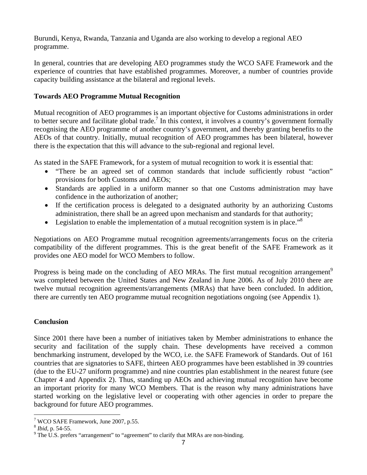Burundi, Kenya, Rwanda, Tanzania and Uganda are also working to develop a regional AEO programme.

In general, countries that are developing AEO programmes study the WCO SAFE Framework and the experience of countries that have established programmes. Moreover, a number of countries provide capacity building assistance at the bilateral and regional levels.

#### **Towards AEO Programme Mutual Recognition**

Mutual recognition of AEO programmes is an important objective for Customs administrations in order to better secure and facilitate global trade.<sup>7</sup> In this context, it involves a country's government formally recognising the AEO programme of another country's government, and thereby granting benefits to the AEOs of that country. Initially, mutual recognition of AEO programmes has been bilateral, however there is the expectation that this will advance to the sub-regional and regional level.

As stated in the SAFE Framework, for a system of mutual recognition to work it is essential that:

- "There be an agreed set of common standards that include sufficiently robust "action" provisions for both Customs and AEOs;
- Standards are applied in a uniform manner so that one Customs administration may have confidence in the authorization of another;
- If the certification process is delegated to a designated authority by an authorizing Customs administration, there shall be an agreed upon mechanism and standards for that authority;
- Legislation to enable the implementation of a mutual recognition system is in place.<sup> $\cdot$ 8</sup>

Negotiations on AEO Programme mutual recognition agreements/arrangements focus on the criteria compatibility of the different programmes. This is the great benefit of the SAFE Framework as it provides one AEO model for WCO Members to follow.

Progress is being made on the concluding of AEO MRAs. The first mutual recognition arrangement<sup>9</sup> was completed between the United States and New Zealand in June 2006. As of July 2010 there are twelve mutual recognition agreements/arrangements (MRAs) that have been concluded. In addition, there are currently ten AEO programme mutual recognition negotiations ongoing (see Appendix 1).

#### **Conclusion**

Since 2001 there have been a number of initiatives taken by Member administrations to enhance the security and facilitation of the supply chain. These developments have received a common benchmarking instrument, developed by the WCO, i.e. the SAFE Framework of Standards. Out of 161 countries that are signatories to SAFE, thirteen AEO programmes have been established in 39 countries (due to the EU-27 uniform programme) and nine countries plan establishment in the nearest future (see Chapter 4 and Appendix 2). Thus, standing up AEOs and achieving mutual recognition have become an important priority for many WCO Members. That is the reason why many administrations have started working on the legislative level or cooperating with other agencies in order to prepare the background for future AEO programmes.

 7 WCO SAFE Framework, June 2007, p.55.

<sup>8</sup> *Ibid*, p. 54-55. 9

 $9$  The U.S. prefers "arrangement" to "agreement" to clarify that MRAs are non-binding.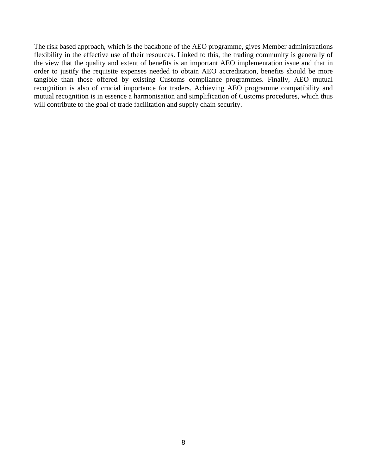The risk based approach, which is the backbone of the AEO programme, gives Member administrations flexibility in the effective use of their resources. Linked to this, the trading community is generally of the view that the quality and extent of benefits is an important AEO implementation issue and that in order to justify the requisite expenses needed to obtain AEO accreditation, benefits should be more tangible than those offered by existing Customs compliance programmes. Finally, AEO mutual recognition is also of crucial importance for traders. Achieving AEO programme compatibility and mutual recognition is in essence a harmonisation and simplification of Customs procedures, which thus will contribute to the goal of trade facilitation and supply chain security.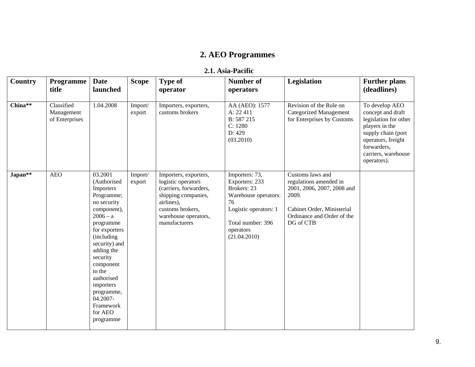# **2. AEO Programmes**

#### **2.1. Asia-Pacific**

| Country               | <b>Programme</b><br>title                  | <b>Date</b><br>launched                                                                                                                                                                                                                                                                                | <b>Scope</b>      | <b>Type of</b><br>operator                                                                                                                                              | <b>Number of</b><br>operators                                                                                                                            | Legislation                                                                                                                                                | <b>Further plans</b><br>(deadlines)                                                                                                                                             |
|-----------------------|--------------------------------------------|--------------------------------------------------------------------------------------------------------------------------------------------------------------------------------------------------------------------------------------------------------------------------------------------------------|-------------------|-------------------------------------------------------------------------------------------------------------------------------------------------------------------------|----------------------------------------------------------------------------------------------------------------------------------------------------------|------------------------------------------------------------------------------------------------------------------------------------------------------------|---------------------------------------------------------------------------------------------------------------------------------------------------------------------------------|
| China $*\overline{*}$ | Classified<br>Management<br>of Enterprises | 1.04.2008                                                                                                                                                                                                                                                                                              | Import/<br>export | Importers, exporters,<br>customs brokers                                                                                                                                | AA (AEO): 1577<br>A: 22 411<br>B: 587 215<br>C: 1280<br>D: 429<br>(03.2010)                                                                              | Revision of the Rule on<br><b>Categorized Management</b><br>for Enterprises by Customs                                                                     | To develop AEO<br>concept and draft<br>legislation for other<br>players in the<br>supply chain (port<br>operators, freight<br>forwarders,<br>carriers, warehouse<br>operators). |
| Japan**               | <b>AEO</b>                                 | 03.2001<br>(Authorised<br>Importers<br>Programme;<br>no security<br>component),<br>$2006 - a$<br>programme<br>for exporters<br>(including)<br>security) and<br>adding the<br>security<br>component<br>to the<br>authorised<br>importers<br>programme,<br>04.2007-<br>Framework<br>for AEO<br>programme | Import/<br>export | Importers, exporters,<br>logistic operators<br>(carriers, forwarders,<br>shipping companies,<br>airlines),<br>customs brokers,<br>warehouse operators,<br>manufacturers | Importers: 73,<br>Exporters: 233<br>Brokers: 23<br>Warehouse operators:<br>76<br>Logistic operators: 1<br>Total number: 396<br>operators<br>(21.04.2010) | Customs laws and<br>regulations amended in<br>2001, 2006, 2007, 2008 and<br>2009.<br>Cabinet Order, Ministerial<br>Ordinance and Order of the<br>DG of CTB |                                                                                                                                                                                 |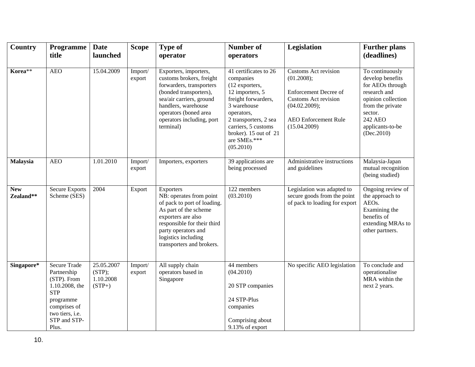| Country                 | Programme                                                                                                                                                  | <b>Date</b>                                   | <b>Scope</b>      | <b>Type of</b>                                                                                                                                                                                                                | <b>Number of</b>                                                                                                                                                                                                                  | <b>Legislation</b>                                                                                                                                                       | <b>Further plans</b><br>(deadlines)                                                                                                                                       |
|-------------------------|------------------------------------------------------------------------------------------------------------------------------------------------------------|-----------------------------------------------|-------------------|-------------------------------------------------------------------------------------------------------------------------------------------------------------------------------------------------------------------------------|-----------------------------------------------------------------------------------------------------------------------------------------------------------------------------------------------------------------------------------|--------------------------------------------------------------------------------------------------------------------------------------------------------------------------|---------------------------------------------------------------------------------------------------------------------------------------------------------------------------|
|                         | title                                                                                                                                                      | launched                                      |                   | operator                                                                                                                                                                                                                      | operators                                                                                                                                                                                                                         |                                                                                                                                                                          |                                                                                                                                                                           |
| Korea**                 | <b>AEO</b>                                                                                                                                                 | 15.04.2009                                    | Import/<br>export | Exporters, importers,<br>customs brokers, freight<br>forwarders, transporters<br>(bonded transporters),<br>sea/air carriers, ground<br>handlers, warehouse<br>operators (boned area<br>operators including, port<br>terminal) | 41 certificates to 26<br>companies<br>(12 exporters,<br>12 importers, 5<br>freight forwarders,<br>3 warehouse<br>operators,<br>2 transporters, 2 sea<br>carriers, 5 customs<br>broker). 15 out of 21<br>are SMEs.***<br>(05.2010) | <b>Customs Act revision</b><br>(01.2008);<br><b>Enforcement Decree of</b><br><b>Customs Act revision</b><br>(04.02.2009);<br><b>AEO</b> Enforcement Rule<br>(15.04.2009) | To continuously<br>develop benefits<br>for AEOs through<br>research and<br>opinion collection<br>from the private<br>sector.<br>242 AEO<br>applicants-to-be<br>(Dec.2010) |
| <b>Malaysia</b>         | <b>AEO</b>                                                                                                                                                 | 1.01.2010                                     | Import/<br>export | Importers, exporters                                                                                                                                                                                                          | 39 applications are<br>being processed                                                                                                                                                                                            | Administrative instructions<br>and guidelines                                                                                                                            | Malaysia-Japan<br>mutual recognition<br>(being studied)                                                                                                                   |
| <b>New</b><br>Zealand** | <b>Secure Exports</b><br>Scheme (SES)                                                                                                                      | 2004                                          | Export            | Exporters<br>NB: operates from point<br>of pack to port of loading.<br>As part of the scheme<br>exporters are also<br>responsible for their third<br>party operators and<br>logistics including<br>transporters and brokers.  | 122 members<br>(03.2010)                                                                                                                                                                                                          | Legislation was adapted to<br>secure goods from the point<br>of pack to loading for export                                                                               | Ongoing review of<br>the approach to<br>AEOs.<br>Examining the<br>benefits of<br>extending MRAs to<br>other partners.                                                     |
| Singapore*              | <b>Secure Trade</b><br>Partnership<br>(STP). From<br>1.10.2008, the<br><b>STP</b><br>programme<br>comprises of<br>two tiers, i.e.<br>STP and STP-<br>Plus. | 25.05.2007<br>(STP);<br>1.10.2008<br>$(STP+)$ | Import/<br>export | All supply chain<br>operators based in<br>Singapore                                                                                                                                                                           | 44 members<br>(04.2010)<br>20 STP companies<br>24 STP-Plus<br>companies<br>Comprising about<br>9.13% of export                                                                                                                    | No specific AEO legislation                                                                                                                                              | To conclude and<br>operationalise<br>MRA within the<br>next 2 years.                                                                                                      |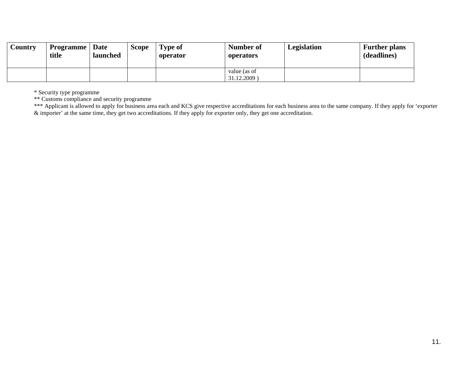| Country | <b>Programme</b>   Date<br>title | launched | <b>Scope</b> | <b>Type of</b><br>operator | <b>Number of</b><br>operators | Legislation | <b>Further plans</b><br>(deadlines) |
|---------|----------------------------------|----------|--------------|----------------------------|-------------------------------|-------------|-------------------------------------|
|         |                                  |          |              |                            | value (as of<br>31.12.2009)   |             |                                     |

\* Security type programme

\*\* Customs compliance and security programme

\*\*\* Applicant is allowed to apply for business area each and KCS give respective accreditations for each business area to the same company. If they apply for 'exporter  $\&$  importer' at the same time, they get two accreditations. If they apply for exporter only, they get one accreditation.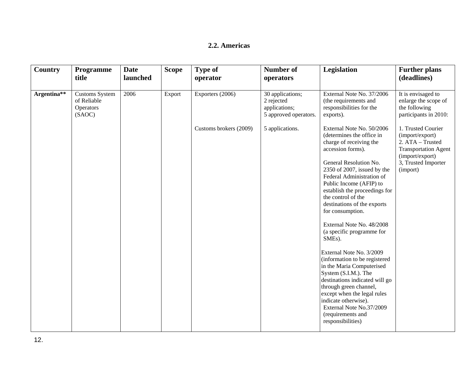#### **2.2. Americas**

| <b>Country</b> | Programme<br>title                                          | <b>Date</b><br>launched | <b>Scope</b> | <b>Type of</b><br>operator | <b>Number of</b><br>operators                                            | Legislation                                                                                                                                                                                                                                                                                                                                                                                                                                                                                                                                                                                                                                                                                                                   | <b>Further plans</b><br>(deadlines)                                                                                                            |
|----------------|-------------------------------------------------------------|-------------------------|--------------|----------------------------|--------------------------------------------------------------------------|-------------------------------------------------------------------------------------------------------------------------------------------------------------------------------------------------------------------------------------------------------------------------------------------------------------------------------------------------------------------------------------------------------------------------------------------------------------------------------------------------------------------------------------------------------------------------------------------------------------------------------------------------------------------------------------------------------------------------------|------------------------------------------------------------------------------------------------------------------------------------------------|
| Argentina**    | <b>Customs System</b><br>of Reliable<br>Operators<br>(SAOC) | 2006                    | Export       | Exporters (2006)           | 30 applications;<br>2 rejected<br>applications;<br>5 approved operators. | External Note No. 37/2006<br>(the requirements and<br>responsibilities for the<br>exports).                                                                                                                                                                                                                                                                                                                                                                                                                                                                                                                                                                                                                                   | It is envisaged to<br>enlarge the scope of<br>the following<br>participants in 2010:                                                           |
|                |                                                             |                         |              | Customs brokers (2009)     | 5 applications.                                                          | External Note No. 50/2006<br>(determines the office in<br>charge of receiving the<br>accession forms).<br>General Resolution No.<br>2350 of 2007, issued by the<br>Federal Administration of<br>Public Income (AFIP) to<br>establish the proceedings for<br>the control of the<br>destinations of the exports<br>for consumption.<br>External Note No. 48/2008<br>(a specific programme for<br>SME <sub>s</sub> ).<br>External Note No. 3/2009<br>(information to be registered<br>in the Maria Computerised<br>System (S.I.M.). The<br>destinations indicated will go<br>through green channel,<br>except when the legal rules<br>indicate otherwise).<br>External Note No.37/2009<br>(requirements and<br>responsibilities) | 1. Trusted Courier<br>(import/export)<br>2. ATA - Trusted<br><b>Transportation Agent</b><br>(import/export)<br>3, Trusted Importer<br>(import) |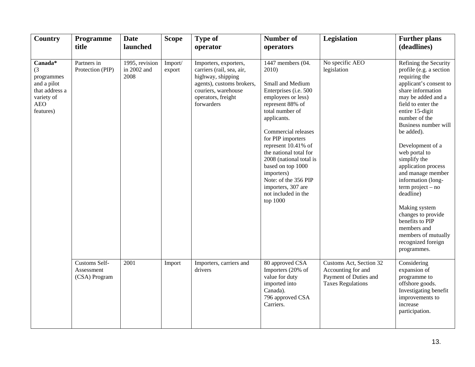| Country                                                                                                | Programme<br>title                           | <b>Date</b><br>launched               | <b>Scope</b>      | Type of<br>operator                                                                                                                                             | <b>Number of</b><br>operators                                                                                                                                                                                                                                                                                                                                                                   | Legislation                                                                                        | <b>Further plans</b><br>(deadlines)                                                                                                                                                                                                                                                                                                                                                                                                                                                                                                    |
|--------------------------------------------------------------------------------------------------------|----------------------------------------------|---------------------------------------|-------------------|-----------------------------------------------------------------------------------------------------------------------------------------------------------------|-------------------------------------------------------------------------------------------------------------------------------------------------------------------------------------------------------------------------------------------------------------------------------------------------------------------------------------------------------------------------------------------------|----------------------------------------------------------------------------------------------------|----------------------------------------------------------------------------------------------------------------------------------------------------------------------------------------------------------------------------------------------------------------------------------------------------------------------------------------------------------------------------------------------------------------------------------------------------------------------------------------------------------------------------------------|
| Canada*<br>(3)<br>programmes<br>and a pilot<br>that address a<br>variety of<br><b>AEO</b><br>features) | Partners in<br>Protection (PIP)              | 1995, revision<br>in 2002 and<br>2008 | Import/<br>export | Importers, exporters,<br>carriers (rail, sea, air,<br>highway, shipping<br>agents), customs brokers,<br>couriers, warehouse<br>operators, freight<br>forwarders | 1447 members (04.<br>2010)<br>Small and Medium<br>Enterprises (i.e. 500<br>employees or less)<br>represent 88% of<br>total number of<br>applicants.<br>Commercial releases<br>for PIP importers<br>represent 10.41% of<br>the national total for<br>2008 (national total is<br>based on top 1000<br>importers)<br>Note: of the 356 PIP<br>importers, 307 are<br>not included in the<br>top 1000 | No specific AEO<br>legislation                                                                     | Refining the Security<br>profile (e.g. a section<br>requiring the<br>applicant's consent to<br>share information<br>may be added and a<br>field to enter the<br>entire 15-digit<br>number of the<br>Business number will<br>be added).<br>Development of a<br>web portal to<br>simplify the<br>application process<br>and manage member<br>information (long-<br>$term project - no$<br>deadline)<br>Making system<br>changes to provide<br>benefits to PIP<br>members and<br>members of mutually<br>recognized foreign<br>programmes. |
|                                                                                                        | Customs Self-<br>Assessment<br>(CSA) Program | 2001                                  | Import            | Importers, carriers and<br>drivers                                                                                                                              | 80 approved CSA<br>Importers (20% of<br>value for duty<br>imported into<br>Canada).<br>796 approved CSA<br>Carriers.                                                                                                                                                                                                                                                                            | Customs Act, Section 32<br>Accounting for and<br>Payment of Duties and<br><b>Taxes Regulations</b> | Considering<br>expansion of<br>programme to<br>offshore goods.<br>Investigating benefit<br>improvements to<br>increase<br>participation.                                                                                                                                                                                                                                                                                                                                                                                               |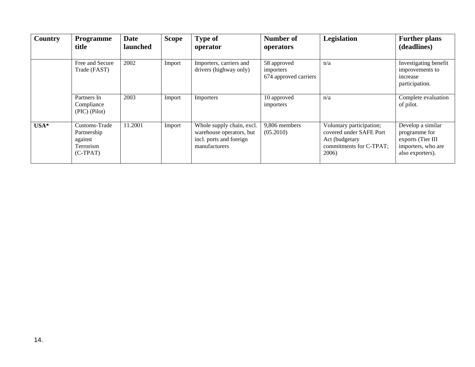| <b>Country</b> | <b>Programme</b><br>title                                          | <b>Date</b><br>launched | <b>Scope</b> | <b>Type of</b><br>operator                                                                        | <b>Number of</b><br>operators                     | Legislation                                                                                               | <b>Further plans</b><br>(deadlines)                                                               |
|----------------|--------------------------------------------------------------------|-------------------------|--------------|---------------------------------------------------------------------------------------------------|---------------------------------------------------|-----------------------------------------------------------------------------------------------------------|---------------------------------------------------------------------------------------------------|
|                | Free and Secure<br>Trade (FAST)                                    | 2002                    | Import       | Importers, carriers and<br>drivers (highway only)                                                 | 58 approved<br>importers<br>674 approved carriers | n/a                                                                                                       | Investigating benefit<br>improvements to<br>increase<br>participation.                            |
|                | Partners In<br>Compliance<br>(PIC) (Pilot)                         | 2003                    | Import       | Importers                                                                                         | 10 approved<br>importers                          | n/a                                                                                                       | Complete evaluation<br>of pilot.                                                                  |
| USA*           | Customs-Trade<br>Partnership<br>against<br>Terrorism<br>$(C-TPAT)$ | 11.2001                 | Import       | Whole supply chain, excl.<br>warehouse operators, but<br>incl. ports and foreign<br>manufacturers | 9,806 members<br>(05.2010)                        | Voluntary participation;<br>covered under SAFE Port<br>Act (budgetary<br>commitments for C-TPAT;<br>2006) | Develop a similar<br>programme for<br>exports (Tier III<br>importers, who are<br>also exporters). |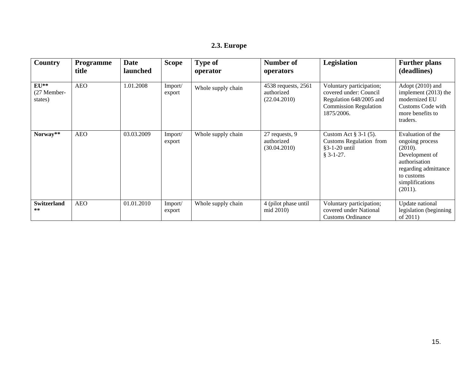| Country                          | <b>Programme</b><br>title | <b>Date</b><br><b>launched</b> | <b>Scope</b>      | <b>Type of</b><br>operator | Number of<br>operators                            | Legislation                                                                                                                 | <b>Further plans</b><br>(deadlines)                                                                                                                    |
|----------------------------------|---------------------------|--------------------------------|-------------------|----------------------------|---------------------------------------------------|-----------------------------------------------------------------------------------------------------------------------------|--------------------------------------------------------------------------------------------------------------------------------------------------------|
| $EU**$<br>(27 Member-<br>states) | <b>AEO</b>                | 1.01.2008                      | Import/<br>export | Whole supply chain         | 4538 requests, 2561<br>authorized<br>(22.04.2010) | Voluntary participation;<br>covered under: Council<br>Regulation 648/2005 and<br><b>Commission Regulation</b><br>1875/2006. | Adopt (2010) and<br>implement (2013) the<br>modernized EU<br>Customs Code with<br>more benefits to<br>traders.                                         |
| Norway**                         | <b>AEO</b>                | 03.03.2009                     | Import/<br>export | Whole supply chain         | 27 requests, 9<br>authorized<br>(30.04.2010)      | Custom Act $\S$ 3-1 (5).<br><b>Customs Regulation from</b><br>$§3 - 1 - 20$ until<br>$§$ 3-1-27.                            | Evaluation of the<br>ongoing process<br>(2010).<br>Development of<br>authorisation<br>regarding admittance<br>to customs<br>simplifications<br>(2011). |
| <b>Switzerland</b><br>**         | <b>AEO</b>                | 01.01.2010                     | Import/<br>export | Whole supply chain         | 4 (pilot phase until<br>mid 2010)                 | Voluntary participation;<br>covered under National<br><b>Customs Ordinance</b>                                              | Update national<br>legislation (beginning)<br>of 2011)                                                                                                 |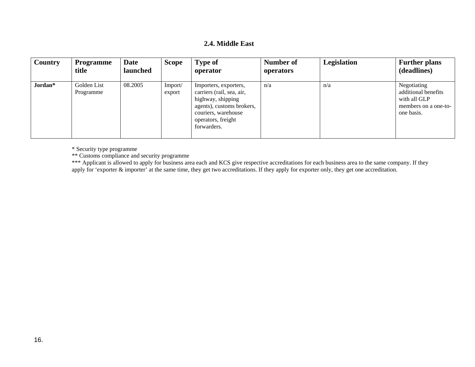#### **2.4. Middle East**

| <b>Country</b> | Programme<br>title       | <b>Date</b><br>launched | <b>Scope</b>      | <b>Type of</b><br>operator                                                                                                                                       | Number of<br>operators | Legislation | <b>Further plans</b><br>(deadlines)                                                      |
|----------------|--------------------------|-------------------------|-------------------|------------------------------------------------------------------------------------------------------------------------------------------------------------------|------------------------|-------------|------------------------------------------------------------------------------------------|
| Jordan*        | Golden List<br>Programme | 08.2005                 | Import/<br>export | Importers, exporters,<br>carriers (rail, sea, air,<br>highway, shipping<br>agents), customs brokers,<br>couriers, warehouse<br>operators, freight<br>forwarders. | n/a                    | n/a         | Negotiating<br>additional benefits<br>with all GLP<br>members on a one-to-<br>one basis. |

\* Security type programme

\*\* Customs compliance and security programme

\*\*\* Applicant is allowed to apply for business area each and KCS give respective accreditations for each business area to the same company. If they apply for 'exporter & importer' at the same time, they get two accreditations. If they apply for exporter only, they get one accreditation.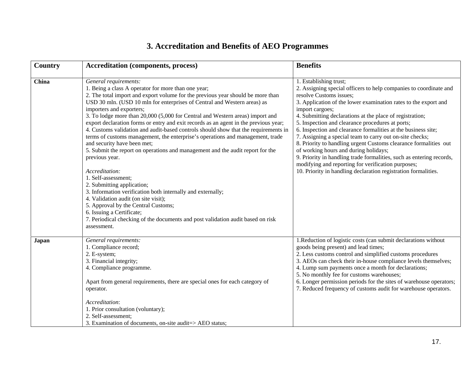# **3. Accreditation and Benefits of AEO Programmes**

| <b>Country</b> | <b>Accreditation (components, process)</b>                                                                                                                                                                                                                                                                                                                                                                                                                                                                                                                                                                                                                                                                                                                                                                                                                                                                                                                                                                                                                                                                       | <b>Benefits</b>                                                                                                                                                                                                                                                                                                                                                                                                                                                                                                                                                                                                                                                                                                                                                        |
|----------------|------------------------------------------------------------------------------------------------------------------------------------------------------------------------------------------------------------------------------------------------------------------------------------------------------------------------------------------------------------------------------------------------------------------------------------------------------------------------------------------------------------------------------------------------------------------------------------------------------------------------------------------------------------------------------------------------------------------------------------------------------------------------------------------------------------------------------------------------------------------------------------------------------------------------------------------------------------------------------------------------------------------------------------------------------------------------------------------------------------------|------------------------------------------------------------------------------------------------------------------------------------------------------------------------------------------------------------------------------------------------------------------------------------------------------------------------------------------------------------------------------------------------------------------------------------------------------------------------------------------------------------------------------------------------------------------------------------------------------------------------------------------------------------------------------------------------------------------------------------------------------------------------|
| China          | General requirements:<br>1. Being a class A operator for more than one year;<br>2. The total import and export volume for the previous year should be more than<br>USD 30 mln. (USD 10 mln for enterprises of Central and Western areas) as<br>importers and exporters;<br>3. To lodge more than 20,000 (5,000 for Central and Western areas) import and<br>export declaration forms or entry and exit records as an agent in the previous year;<br>4. Customs validation and audit-based controls should show that the requirements in<br>terms of customs management, the enterprise's operations and management, trade<br>and security have been met;<br>5. Submit the report on operations and management and the audit report for the<br>previous year.<br>Accreditation:<br>1. Self-assessment;<br>2. Submitting application;<br>3. Information verification both internally and externally;<br>4. Validation audit (on site visit);<br>5. Approval by the Central Customs;<br>6. Issuing a Certificate;<br>7. Periodical checking of the documents and post validation audit based on risk<br>assessment. | 1. Establishing trust;<br>2. Assigning special officers to help companies to coordinate and<br>resolve Customs issues;<br>3. Application of the lower examination rates to the export and<br>import cargoes;<br>4. Submitting declarations at the place of registration;<br>5. Inspection and clearance procedures at ports;<br>6. Inspection and clearance formalities at the business site;<br>7. Assigning a special team to carry out on-site checks;<br>8. Priority to handling urgent Customs clearance formalities out<br>of working hours and during holidays;<br>9. Priority in handling trade formalities, such as entering records,<br>modifying and reporting for verification purposes;<br>10. Priority in handling declaration registration formalities. |
| Japan          | General requirements:<br>1. Compliance record;<br>2. E-system;<br>3. Financial integrity;<br>4. Compliance programme.<br>Apart from general requirements, there are special ones for each category of<br>operator.<br>Accreditation:<br>1. Prior consultation (voluntary);<br>2. Self-assessment;<br>3. Examination of documents, on-site audit=> AEO status;                                                                                                                                                                                                                                                                                                                                                                                                                                                                                                                                                                                                                                                                                                                                                    | 1. Reduction of logistic costs (can submit declarations without<br>goods being present) and lead times;<br>2. Less customs control and simplified customs procedures<br>3. AEOs can check their in-house compliance levels themselves;<br>4. Lump sum payments once a month for declarations;<br>5. No monthly fee for customs warehouses;<br>6. Longer permission periods for the sites of warehouse operators;<br>7. Reduced frequency of customs audit for warehouse operators.                                                                                                                                                                                                                                                                                     |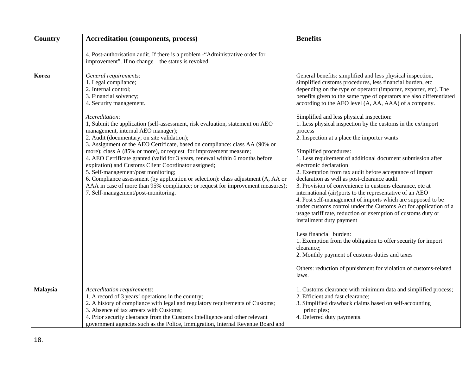| Country  | <b>Accreditation (components, process)</b>                                                                                                                                                                                                                                                                                                                                                                                                                                                                                                                                                                                                                                                                                                                                                                                                                            | <b>Benefits</b>                                                                                                                                                                                                                                                                                                                                                                                                                                                                                                                                                                                                                                                                                                                                                                                                                                                                                                                                                                                                                                                                                                                                                                                                                                                                                                               |  |  |
|----------|-----------------------------------------------------------------------------------------------------------------------------------------------------------------------------------------------------------------------------------------------------------------------------------------------------------------------------------------------------------------------------------------------------------------------------------------------------------------------------------------------------------------------------------------------------------------------------------------------------------------------------------------------------------------------------------------------------------------------------------------------------------------------------------------------------------------------------------------------------------------------|-------------------------------------------------------------------------------------------------------------------------------------------------------------------------------------------------------------------------------------------------------------------------------------------------------------------------------------------------------------------------------------------------------------------------------------------------------------------------------------------------------------------------------------------------------------------------------------------------------------------------------------------------------------------------------------------------------------------------------------------------------------------------------------------------------------------------------------------------------------------------------------------------------------------------------------------------------------------------------------------------------------------------------------------------------------------------------------------------------------------------------------------------------------------------------------------------------------------------------------------------------------------------------------------------------------------------------|--|--|
|          | 4. Post-authorisation audit. If there is a problem - "Administrative order for<br>improvement". If no change – the status is revoked.                                                                                                                                                                                                                                                                                                                                                                                                                                                                                                                                                                                                                                                                                                                                 |                                                                                                                                                                                                                                                                                                                                                                                                                                                                                                                                                                                                                                                                                                                                                                                                                                                                                                                                                                                                                                                                                                                                                                                                                                                                                                                               |  |  |
| Korea    | General requirements:<br>1. Legal compliance;<br>2. Internal control;<br>3. Financial solvency;<br>4. Security management.<br>Accreditation:<br>1, Submit the application (self-assessment, risk evaluation, statement on AEO<br>management, internal AEO manager);<br>2. Audit (documentary; on site validation);<br>3. Assignment of the AEO Certificate, based on compliance: class AA (90% or<br>more); class A (85% or more), or request for improvement measure;<br>4. AEO Certificate granted (valid for 3 years, renewal within 6 months before<br>expiration) and Customs Client Coordinator assigned;<br>5. Self-management/post monitoring;<br>6. Compliance assessment (by application or selection): class adjustment (A, AA or<br>AAA in case of more than 95% compliance; or request for improvement measures);<br>7. Self-management/post-monitoring. | General benefits: simplified and less physical inspection,<br>simplified customs procedures, less financial burden, etc<br>depending on the type of operator (importer, exporter, etc). The<br>benefits given to the same type of operators are also differentiated<br>according to the AEO level (A, AA, AAA) of a company.<br>Simplified and less physical inspection:<br>1. Less physical inspection by the customs in the ex/import<br>process<br>2. Inspection at a place the importer wants<br>Simplified procedures:<br>1. Less requirement of additional document submission after<br>electronic declaration<br>2. Exemption from tax audit before acceptance of import<br>declaration as well as post-clearance audit<br>3. Provision of convenience in customs clearance, etc at<br>international (air)ports to the representative of an AEO<br>4. Post self-management of imports which are supposed to be<br>under customs control under the Customs Act for application of a<br>usage tariff rate, reduction or exemption of customs duty or<br>installment duty payment<br>Less financial burden:<br>1. Exemption from the obligation to offer security for import<br>clearance;<br>2. Monthly payment of customs duties and taxes<br>Others: reduction of punishment for violation of customs-related<br>laws. |  |  |
| Malaysia | Accreditation requirements:<br>1. A record of 3 years' operations in the country;<br>2. A history of compliance with legal and regulatory requirements of Customs;<br>3. Absence of tax arrears with Customs;<br>4. Prior security clearance from the Customs Intelligence and other relevant<br>government agencies such as the Police, Immigration, Internal Revenue Board and                                                                                                                                                                                                                                                                                                                                                                                                                                                                                      | 1. Customs clearance with minimum data and simplified process;<br>2. Efficient and fast clearance;<br>3. Simplified drawback claims based on self-accounting<br>principles;<br>4. Deferred duty payments.                                                                                                                                                                                                                                                                                                                                                                                                                                                                                                                                                                                                                                                                                                                                                                                                                                                                                                                                                                                                                                                                                                                     |  |  |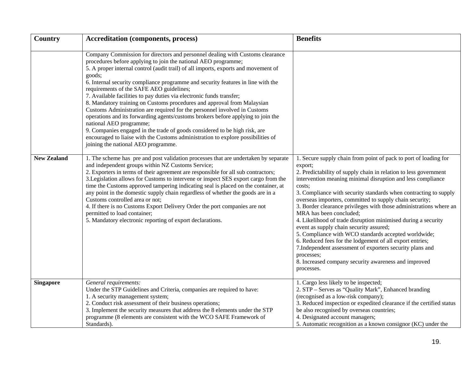| Country            | <b>Accreditation (components, process)</b>                                                                                                                                                                                                                                                                                                                                                                                                                                                                                                                                                                                                                                                                                                                                                                                                                                                                                              | <b>Benefits</b>                                                                                                                                                                                                                                                                                                                                                                                                                                                                                                                                                                                                                                                                                                                                                                                                                           |  |  |
|--------------------|-----------------------------------------------------------------------------------------------------------------------------------------------------------------------------------------------------------------------------------------------------------------------------------------------------------------------------------------------------------------------------------------------------------------------------------------------------------------------------------------------------------------------------------------------------------------------------------------------------------------------------------------------------------------------------------------------------------------------------------------------------------------------------------------------------------------------------------------------------------------------------------------------------------------------------------------|-------------------------------------------------------------------------------------------------------------------------------------------------------------------------------------------------------------------------------------------------------------------------------------------------------------------------------------------------------------------------------------------------------------------------------------------------------------------------------------------------------------------------------------------------------------------------------------------------------------------------------------------------------------------------------------------------------------------------------------------------------------------------------------------------------------------------------------------|--|--|
|                    | Company Commission for directors and personnel dealing with Customs clearance<br>procedures before applying to join the national AEO programme;<br>5. A proper internal control (audit trail) of all imports, exports and movement of<br>goods;<br>6. Internal security compliance programme and security features in line with the<br>requirements of the SAFE AEO guidelines;<br>7. Available facilities to pay duties via electronic funds transfer;<br>8. Mandatory training on Customs procedures and approval from Malaysian<br>Customs Administration are required for the personnel involved in Customs<br>operations and its forwarding agents/customs brokers before applying to join the<br>national AEO programme;<br>9. Companies engaged in the trade of goods considered to be high risk, are<br>encouraged to liaise with the Customs administration to explore possibilities of<br>joining the national AEO programme. |                                                                                                                                                                                                                                                                                                                                                                                                                                                                                                                                                                                                                                                                                                                                                                                                                                           |  |  |
| <b>New Zealand</b> | 1. The scheme has pre and post validation processes that are undertaken by separate<br>and independent groups within NZ Customs Service;<br>2. Exporters in terms of their agreement are responsible for all sub contractors;<br>3. Legislation allows for Customs to intervene or inspect SES export cargo from the<br>time the Customs approved tampering indicating seal is placed on the container, at<br>any point in the domestic supply chain regardless of whether the goods are in a<br>Customs controlled area or not;<br>4. If there is no Customs Export Delivery Order the port companies are not<br>permitted to load container;<br>5. Mandatory electronic reporting of export declarations.                                                                                                                                                                                                                             | 1. Secure supply chain from point of pack to port of loading for<br>export;<br>2. Predictability of supply chain in relation to less government<br>intervention meaning minimal disruption and less compliance<br>costs;<br>3. Compliance with security standards when contracting to supply<br>overseas importers, committed to supply chain security;<br>3. Border clearance privileges with those administrations where an<br>MRA has been concluded;<br>4. Likelihood of trade disruption minimised during a security<br>event as supply chain security assured;<br>5. Compliance with WCO standards accepted worldwide;<br>6. Reduced fees for the lodgement of all export entries;<br>7. Independent assessment of exporters security plans and<br>processes;<br>8. Increased company security awareness and improved<br>processes. |  |  |
| <b>Singapore</b>   | General requirements:<br>Under the STP Guidelines and Criteria, companies are required to have:<br>1. A security management system;<br>2. Conduct risk assessment of their business operations;<br>3. Implement the security measures that address the 8 elements under the STP<br>programme (8 elements are consistent with the WCO SAFE Framework of<br>Standards).                                                                                                                                                                                                                                                                                                                                                                                                                                                                                                                                                                   | 1. Cargo less likely to be inspected;<br>2. STP - Serves as "Quality Mark", Enhanced branding<br>(recognised as a low-risk company);<br>3. Reduced inspection or expedited clearance if the certified status<br>be also recognised by overseas countries;<br>4. Designated account managers;<br>5. Automatic recognition as a known consignor (KC) under the                                                                                                                                                                                                                                                                                                                                                                                                                                                                              |  |  |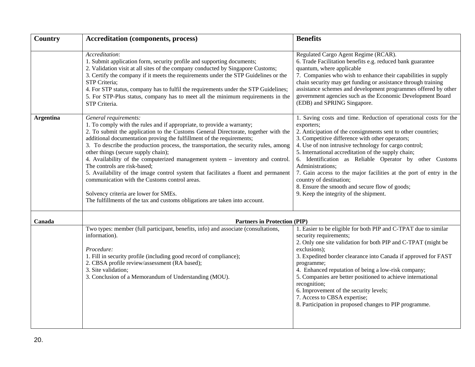| Country          | <b>Accreditation (components, process)</b>                                                                                                                                                                                                                                                                                                                                                                                                                                                                                                                                                                                                                                                                                                                                      | <b>Benefits</b>                                                                                                                                                                                                                                                                                                                                                                                                                                                                                                                                                                               |
|------------------|---------------------------------------------------------------------------------------------------------------------------------------------------------------------------------------------------------------------------------------------------------------------------------------------------------------------------------------------------------------------------------------------------------------------------------------------------------------------------------------------------------------------------------------------------------------------------------------------------------------------------------------------------------------------------------------------------------------------------------------------------------------------------------|-----------------------------------------------------------------------------------------------------------------------------------------------------------------------------------------------------------------------------------------------------------------------------------------------------------------------------------------------------------------------------------------------------------------------------------------------------------------------------------------------------------------------------------------------------------------------------------------------|
|                  | Accreditation:<br>1. Submit application form, security profile and supporting documents;<br>2. Validation visit at all sites of the company conducted by Singapore Customs;<br>3. Certify the company if it meets the requirements under the STP Guidelines or the<br>STP Criteria;<br>4. For STP status, company has to fulfil the requirements under the STP Guidelines;<br>5. For STP-Plus status, company has to meet all the minimum requirements in the<br>STP Criteria.                                                                                                                                                                                                                                                                                                  | Regulated Cargo Agent Regime (RCAR).<br>6. Trade Facilitation benefits e.g. reduced bank guarantee<br>quantum, where applicable<br>7. Companies who wish to enhance their capabilities in supply<br>chain security may get funding or assistance through training<br>assistance schemes and development programmes offered by other<br>government agencies such as the Economic Development Board<br>(EDB) and SPRING Singapore.                                                                                                                                                              |
| <b>Argentina</b> | General requirements:<br>1. To comply with the rules and if appropriate, to provide a warranty;<br>2. To submit the application to the Customs General Directorate, together with the<br>additional documentation proving the fulfillment of the requirements;<br>3. To describe the production process, the transportation, the security rules, among<br>other things (secure supply chain);<br>4. Availability of the computerized management system - inventory and control.<br>The controls are risk-based;<br>5. Availability of the image control system that facilitates a fluent and permanent<br>communication with the Customs control areas.<br>Solvency criteria are lower for SMEs.<br>The fulfillments of the tax and customs obligations are taken into account. | 1. Saving costs and time. Reduction of operational costs for the<br>exporters;<br>2. Anticipation of the consignments sent to other countries;<br>3. Competitive difference with other operators;<br>4. Use of non intrusive technology for cargo control;<br>5. International accreditation of the supply chain;<br>6. Identification as Reliable Operator by other Customs<br>Administrations;<br>7. Gain access to the major facilities at the port of entry in the<br>country of destination;<br>8. Ensure the smooth and secure flow of goods;<br>9. Keep the integrity of the shipment. |
| Canada           | <b>Partners in Protection (PIP)</b>                                                                                                                                                                                                                                                                                                                                                                                                                                                                                                                                                                                                                                                                                                                                             |                                                                                                                                                                                                                                                                                                                                                                                                                                                                                                                                                                                               |
|                  | Two types: member (full participant, benefits, info) and associate (consultations,<br>information).<br>Procedure:<br>1. Fill in security profile (including good record of compliance);<br>2. CBSA profile review/assessment (RA based);<br>3. Site validation;<br>3. Conclusion of a Memorandum of Understanding (MOU).                                                                                                                                                                                                                                                                                                                                                                                                                                                        | 1. Easier to be eligible for both PIP and C-TPAT due to similar<br>security requirements;<br>2. Only one site validation for both PIP and C-TPAT (might be<br>exclusions);<br>3. Expedited border clearance into Canada if approved for FAST<br>programme;<br>4. Enhanced reputation of being a low-risk company;<br>5. Companies are better positioned to achieve international<br>recognition;<br>6. Improvement of the security levels;<br>7. Access to CBSA expertise;<br>8. Participation in proposed changes to PIP programme.                                                          |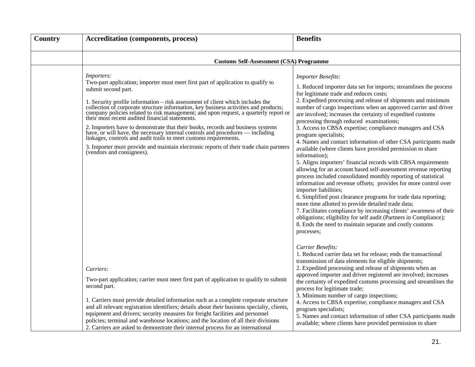| Country | <b>Accreditation (components, process)</b>                                                                                                                                                                                                                                                                                                                                                                                                                                                                                                                                                                                                                                                                                                                                                                 | <b>Benefits</b>                                                                                                                                                                                                                                                                                                                                                                                                                                                                                                                                                                                                                                                                                                                                                                                                                                                                                                                                                                                                                                                                                                                                                                                                                                                               |  |  |
|---------|------------------------------------------------------------------------------------------------------------------------------------------------------------------------------------------------------------------------------------------------------------------------------------------------------------------------------------------------------------------------------------------------------------------------------------------------------------------------------------------------------------------------------------------------------------------------------------------------------------------------------------------------------------------------------------------------------------------------------------------------------------------------------------------------------------|-------------------------------------------------------------------------------------------------------------------------------------------------------------------------------------------------------------------------------------------------------------------------------------------------------------------------------------------------------------------------------------------------------------------------------------------------------------------------------------------------------------------------------------------------------------------------------------------------------------------------------------------------------------------------------------------------------------------------------------------------------------------------------------------------------------------------------------------------------------------------------------------------------------------------------------------------------------------------------------------------------------------------------------------------------------------------------------------------------------------------------------------------------------------------------------------------------------------------------------------------------------------------------|--|--|
|         | <b>Customs Self-Assessment (CSA) Programme</b>                                                                                                                                                                                                                                                                                                                                                                                                                                                                                                                                                                                                                                                                                                                                                             |                                                                                                                                                                                                                                                                                                                                                                                                                                                                                                                                                                                                                                                                                                                                                                                                                                                                                                                                                                                                                                                                                                                                                                                                                                                                               |  |  |
|         | <i>Importers:</i><br>Two-part application; importer must meet first part of application to qualify to<br>submit second part.<br>1. Security profile information - risk assessment of client which includes the<br>collection of corporate structure information, key business activities and products;<br>company policies related to risk management; and upon request, a quarterly report or<br>their most recent audited financial statements.<br>2. Importers have to demonstrate that their books, records and business systems have, or will have, the necessary internal controls and procedures — including linkages, controls and audit trails to meet customs requirement<br>3. Importer must provide and maintain electronic reports of their trade chain partners<br>(vendors and consignees). | <b>Importer Benefits:</b><br>1. Reduced importer data set for imports; streamlines the process<br>for legitimate trade and reduces costs;<br>2. Expedited processing and release of shipments and minimum<br>number of cargo inspections when an approved carrier and driver<br>are involved; increases the certainty of expedited customs<br>processing through reduced examinations;<br>3. Access to CBSA expertise; compliance managers and CSA<br>program specialists;<br>4. Names and contact information of other CSA participants made<br>available (where clients have provided permission to share<br>information);<br>5. Aligns importers' financial records with CBSA requirements<br>allowing for an account based self-assessment revenue reporting<br>process included consolidated monthly reporting of statistical<br>information and revenue offsets; provides for more control over<br>importer liabilities;<br>6. Simplified post clearance programs for trade data reporting;<br>more time allotted to provide detailed trade data;<br>7. Facilitates compliance by increasing clients' awareness of their<br>obligations; eligibility for self audit (Partners in Compliance);<br>8. Ends the need to maintain separate and costly customs<br>processes; |  |  |
|         | Carriers:<br>Two-part application; carrier must meet first part of application to qualify to submit<br>second part.<br>1. Carriers must provide detailed information such as a complete corporate structure<br>and all relevant registration identifiers; details about their business specialty, clients,<br>equipment and drivers; security measures for freight facilities and personnel<br>policies; terminal and warehouse locations; and the location of all their divisions<br>2. Carriers are asked to demonstrate their internal process for an international                                                                                                                                                                                                                                     | Carrier Benefits:<br>1. Reduced carrier data set for release; ends the transactional<br>transmission of data elements for eligible shipments;<br>2. Expedited processing and release of shipments when an<br>approved importer and driver registered are involved; increases<br>the certainty of expedited customs processing and streamlines the<br>process for legitimate trade;<br>3. Minimum number of cargo inspections;<br>4. Access to CBSA expertise; compliance managers and CSA<br>program specialists;<br>5. Names and contact information of other CSA participants made<br>available; where clients have provided permission to share                                                                                                                                                                                                                                                                                                                                                                                                                                                                                                                                                                                                                            |  |  |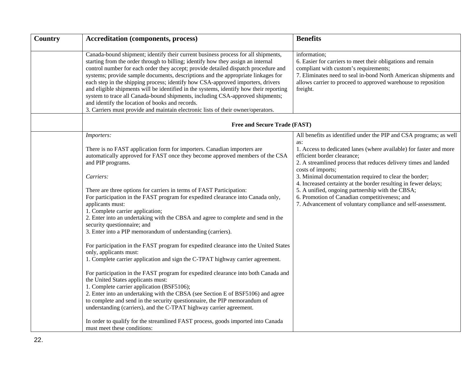| Country | <b>Accreditation (components, process)</b>                                                                                                                                                                                                                                                                                                                                                                                                                                                                                                                                                                                                                                                                                                                                                                                                                                                                                                                                                                                                                                                                                                                                                                                                                                                                                                           | <b>Benefits</b>                                                                                                                                                                                                                                                                                                                                                                                                                                                                                                                                                         |
|---------|------------------------------------------------------------------------------------------------------------------------------------------------------------------------------------------------------------------------------------------------------------------------------------------------------------------------------------------------------------------------------------------------------------------------------------------------------------------------------------------------------------------------------------------------------------------------------------------------------------------------------------------------------------------------------------------------------------------------------------------------------------------------------------------------------------------------------------------------------------------------------------------------------------------------------------------------------------------------------------------------------------------------------------------------------------------------------------------------------------------------------------------------------------------------------------------------------------------------------------------------------------------------------------------------------------------------------------------------------|-------------------------------------------------------------------------------------------------------------------------------------------------------------------------------------------------------------------------------------------------------------------------------------------------------------------------------------------------------------------------------------------------------------------------------------------------------------------------------------------------------------------------------------------------------------------------|
|         | Canada-bound shipment; identify their current business process for all shipments,<br>starting from the order through to billing; identify how they assign an internal<br>control number for each order they accept; provide detailed dispatch procedure and<br>systems; provide sample documents, descriptions and the appropriate linkages for<br>each step in the shipping process; identify how CSA-approved importers, drivers<br>and eligible shipments will be identified in the systems, identify how their reporting<br>system to trace all Canada-bound shipments, including CSA-approved shipments;<br>and identify the location of books and records.<br>3. Carriers must provide and maintain electronic lists of their owner/operators.                                                                                                                                                                                                                                                                                                                                                                                                                                                                                                                                                                                                 | information;<br>6. Easier for carriers to meet their obligations and remain<br>compliant with custom's requirements;<br>7. Eliminates need to seal in-bond North American shipments and<br>allows carrier to proceed to approved warehouse to reposition<br>freight.                                                                                                                                                                                                                                                                                                    |
|         | Free and Secure Trade (FAST)                                                                                                                                                                                                                                                                                                                                                                                                                                                                                                                                                                                                                                                                                                                                                                                                                                                                                                                                                                                                                                                                                                                                                                                                                                                                                                                         |                                                                                                                                                                                                                                                                                                                                                                                                                                                                                                                                                                         |
|         | Importers:<br>There is no FAST application form for importers. Canadian importers are<br>automatically approved for FAST once they become approved members of the CSA<br>and PIP programs.<br>Carriers:<br>There are three options for carriers in terms of FAST Participation:<br>For participation in the FAST program for expedited clearance into Canada only,<br>applicants must:<br>1. Complete carrier application;<br>2. Enter into an undertaking with the CBSA and agree to complete and send in the<br>security questionnaire; and<br>3. Enter into a PIP memorandum of understanding (carriers).<br>For participation in the FAST program for expedited clearance into the United States<br>only, applicants must:<br>1. Complete carrier application and sign the C-TPAT highway carrier agreement.<br>For participation in the FAST program for expedited clearance into both Canada and<br>the United States applicants must:<br>1. Complete carrier application (BSF5106);<br>2. Enter into an undertaking with the CBSA (see Section E of BSF5106) and agree<br>to complete and send in the security questionnaire, the PIP memorandum of<br>understanding (carriers), and the C-TPAT highway carrier agreement.<br>In order to qualify for the streamlined FAST process, goods imported into Canada<br>must meet these conditions: | All benefits as identified under the PIP and CSA programs; as well<br>as:<br>1. Access to dedicated lanes (where available) for faster and more<br>efficient border clearance;<br>2. A streamlined process that reduces delivery times and landed<br>costs of imports;<br>3. Minimal documentation required to clear the border;<br>4. Increased certainty at the border resulting in fewer delays;<br>5. A unified, ongoing partnership with the CBSA;<br>6. Promotion of Canadian competitiveness; and<br>7. Advancement of voluntary compliance and self-assessment. |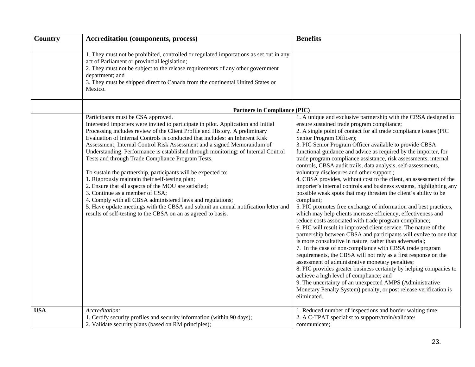| Country    | <b>Accreditation (components, process)</b>                                                                                                                                                                                                                                                                                                                                                                                                                                                                                                                                                                                                                                                                                                                                                                                                                                                                                                       | <b>Benefits</b>                                                                                                                                                                                                                                                                                                                                                                                                                                                                                                                                                                                                                                                                                                                                                                                                                                                                                                                                                                                                                                                                                                                                                                                                                                                                                                                                                                                                                                                                                                                                                                                                     |
|------------|--------------------------------------------------------------------------------------------------------------------------------------------------------------------------------------------------------------------------------------------------------------------------------------------------------------------------------------------------------------------------------------------------------------------------------------------------------------------------------------------------------------------------------------------------------------------------------------------------------------------------------------------------------------------------------------------------------------------------------------------------------------------------------------------------------------------------------------------------------------------------------------------------------------------------------------------------|---------------------------------------------------------------------------------------------------------------------------------------------------------------------------------------------------------------------------------------------------------------------------------------------------------------------------------------------------------------------------------------------------------------------------------------------------------------------------------------------------------------------------------------------------------------------------------------------------------------------------------------------------------------------------------------------------------------------------------------------------------------------------------------------------------------------------------------------------------------------------------------------------------------------------------------------------------------------------------------------------------------------------------------------------------------------------------------------------------------------------------------------------------------------------------------------------------------------------------------------------------------------------------------------------------------------------------------------------------------------------------------------------------------------------------------------------------------------------------------------------------------------------------------------------------------------------------------------------------------------|
|            | 1. They must not be prohibited, controlled or regulated importations as set out in any<br>act of Parliament or provincial legislation;<br>2. They must not be subject to the release requirements of any other government<br>department; and<br>3. They must be shipped direct to Canada from the continental United States or<br>Mexico.                                                                                                                                                                                                                                                                                                                                                                                                                                                                                                                                                                                                        |                                                                                                                                                                                                                                                                                                                                                                                                                                                                                                                                                                                                                                                                                                                                                                                                                                                                                                                                                                                                                                                                                                                                                                                                                                                                                                                                                                                                                                                                                                                                                                                                                     |
|            | <b>Partners in Compliance (PIC)</b>                                                                                                                                                                                                                                                                                                                                                                                                                                                                                                                                                                                                                                                                                                                                                                                                                                                                                                              |                                                                                                                                                                                                                                                                                                                                                                                                                                                                                                                                                                                                                                                                                                                                                                                                                                                                                                                                                                                                                                                                                                                                                                                                                                                                                                                                                                                                                                                                                                                                                                                                                     |
|            | Participants must be CSA approved.<br>Interested importers were invited to participate in pilot. Application and Initial<br>Processing includes review of the Client Profile and History. A preliminary<br>Evaluation of Internal Controls is conducted that includes: an Inherent Risk<br>Assessment; Internal Control Risk Assessment and a signed Memorandum of<br>Understanding. Performance is established through monitoring: of Internal Control<br>Tests and through Trade Compliance Program Tests.<br>To sustain the partnership, participants will be expected to:<br>1. Rigorously maintain their self-testing plan;<br>2. Ensure that all aspects of the MOU are satisfied;<br>3. Continue as a member of CSA;<br>4. Comply with all CBSA administered laws and regulations;<br>5. Have update meetings with the CBSA and submit an annual notification letter and<br>results of self-testing to the CBSA on an as agreed to basis. | 1. A unique and exclusive partnership with the CBSA designed to<br>ensure sustained trade program compliance;<br>2. A single point of contact for all trade compliance issues (PIC<br>Senior Program Officer);<br>3. PIC Senior Program Officer available to provide CBSA<br>functional guidance and advice as required by the importer, for<br>trade program compliance assistance, risk assessments, internal<br>controls, CBSA audit trails, data analysis, self-assessments,<br>voluntary disclosures and other support;<br>4. CBSA provides, without cost to the client, an assessment of the<br>importer's internal controls and business systems, highlighting any<br>possible weak spots that may threaten the client's ability to be<br>compliant;<br>5. PIC promotes free exchange of information and best practices,<br>which may help clients increase efficiency, effectiveness and<br>reduce costs associated with trade program compliance;<br>6. PIC will result in improved client service. The nature of the<br>partnership between CBSA and participants will evolve to one that<br>is more consultative in nature, rather than adversarial;<br>7. In the case of non-compliance with CBSA trade program<br>requirements, the CBSA will not rely as a first response on the<br>assessment of administrative monetary penalties;<br>8. PIC provides greater business certainty by helping companies to<br>achieve a high level of compliance; and<br>9. The uncertainty of an unexpected AMPS (Administrative<br>Monetary Penalty System) penalty, or post release verification is<br>eliminated. |
| <b>USA</b> | Accreditation:<br>1. Certify security profiles and security information (within 90 days);<br>2. Validate security plans (based on RM principles);                                                                                                                                                                                                                                                                                                                                                                                                                                                                                                                                                                                                                                                                                                                                                                                                | 1. Reduced number of inspections and border waiting time;<br>2. A C-TPAT specialist to support//train/validate/<br>communicate;                                                                                                                                                                                                                                                                                                                                                                                                                                                                                                                                                                                                                                                                                                                                                                                                                                                                                                                                                                                                                                                                                                                                                                                                                                                                                                                                                                                                                                                                                     |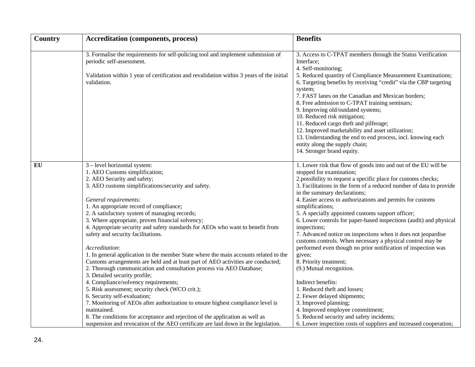| Country | <b>Accreditation (components, process)</b>                                                                                                                                                                               | <b>Benefits</b>                                                                                                                                                                                                                                                                                                                                                                        |
|---------|--------------------------------------------------------------------------------------------------------------------------------------------------------------------------------------------------------------------------|----------------------------------------------------------------------------------------------------------------------------------------------------------------------------------------------------------------------------------------------------------------------------------------------------------------------------------------------------------------------------------------|
|         | 3. Formalise the requirements for self-policing tool and implement submission of<br>periodic self-assessment.<br>Validation within 1 year of certification and revalidation within 3 years of the initial<br>validation. | 3. Access to C-TPAT members through the Status Verification<br>Interface;<br>4. Self-monitoring;<br>5. Reduced quantity of Compliance Measurement Examinations;<br>6. Targeting benefits by receiving "credit" via the CBP targeting                                                                                                                                                   |
|         |                                                                                                                                                                                                                          | system;<br>7. FAST lanes on the Canadian and Mexican borders;<br>8. Free admission to C-TPAT training seminars;<br>9. Improving old/outdated systems;<br>10. Reduced risk mitigation;<br>11. Reduced cargo theft and pilferage;<br>12. Improved marketability and asset utilization;<br>13. Understanding the end to end process, incl. knowing each<br>entity along the supply chain; |
|         |                                                                                                                                                                                                                          | 14. Stronger brand equity.                                                                                                                                                                                                                                                                                                                                                             |
| EU      | 3 - level horizontal system:                                                                                                                                                                                             | 1. Lower risk that flow of goods into and out of the EU will be                                                                                                                                                                                                                                                                                                                        |
|         | 1. AEO Customs simplification;                                                                                                                                                                                           | stopped for examination;                                                                                                                                                                                                                                                                                                                                                               |
|         | 2. AEO Security and safety;                                                                                                                                                                                              | 2.possibility to request a specific place for customs checks;                                                                                                                                                                                                                                                                                                                          |
|         | 3. AEO customs simplifications/security and safety.                                                                                                                                                                      | 3. Facilitations in the form of a reduced number of data to provide                                                                                                                                                                                                                                                                                                                    |
|         |                                                                                                                                                                                                                          | in the summary declarations;                                                                                                                                                                                                                                                                                                                                                           |
|         | General requirements:                                                                                                                                                                                                    | 4. Easier access to authorizations and permits for customs                                                                                                                                                                                                                                                                                                                             |
|         | 1. An appropriate record of compliance;                                                                                                                                                                                  | simplifications;                                                                                                                                                                                                                                                                                                                                                                       |
|         | 2. A satisfactory system of managing records;                                                                                                                                                                            | 5. A specially appointed customs support officer;                                                                                                                                                                                                                                                                                                                                      |
|         | 3. Where appropriate, proven financial solvency;                                                                                                                                                                         | 6. Lower controls for paper-based inspections (audit) and physical                                                                                                                                                                                                                                                                                                                     |
|         | 4. Appropriate security and safety standards for AEOs who want to benefit from<br>safety and security facilitations.                                                                                                     | inspections;<br>7. Advanced notice on inspections when it does not jeopardise                                                                                                                                                                                                                                                                                                          |
|         |                                                                                                                                                                                                                          | customs controls. When necessary a physical control may be                                                                                                                                                                                                                                                                                                                             |
|         | Accreditation:                                                                                                                                                                                                           | performed even though no prior notification of inspection was                                                                                                                                                                                                                                                                                                                          |
|         | 1. In general application in the member State where the main accounts related to the                                                                                                                                     | given;                                                                                                                                                                                                                                                                                                                                                                                 |
|         | Customs arrangements are held and at least part of AEO activities are conducted;                                                                                                                                         | 8. Priority treatment;                                                                                                                                                                                                                                                                                                                                                                 |
|         | 2. Thorough communication and consultation process via AEO Database;                                                                                                                                                     | (9.) Mutual recognition.                                                                                                                                                                                                                                                                                                                                                               |
|         | 3. Detailed security profile;                                                                                                                                                                                            |                                                                                                                                                                                                                                                                                                                                                                                        |
|         | 4. Compliance/solvency requirements;                                                                                                                                                                                     | Indirect benefits:                                                                                                                                                                                                                                                                                                                                                                     |
|         | 5. Risk assessment; security check (WCO crit.);                                                                                                                                                                          | 1. Reduced theft and losses;                                                                                                                                                                                                                                                                                                                                                           |
|         | 6. Security self-evaluation;                                                                                                                                                                                             | 2. Fewer delayed shipments;                                                                                                                                                                                                                                                                                                                                                            |
|         | 7. Monitoring of AEOs after authorization to ensure highest compliance level is                                                                                                                                          | 3. Improved planning;                                                                                                                                                                                                                                                                                                                                                                  |
|         | maintained.                                                                                                                                                                                                              | 4. Improved employee commitment;                                                                                                                                                                                                                                                                                                                                                       |
|         | 8. The conditions for acceptance and rejection of the application as well as                                                                                                                                             | 5. Reduced security and safety incidents;                                                                                                                                                                                                                                                                                                                                              |
|         | suspension and revocation of the AEO certificate are laid down in the legislation.                                                                                                                                       | 6. Lower inspection costs of suppliers and increased cooperation;                                                                                                                                                                                                                                                                                                                      |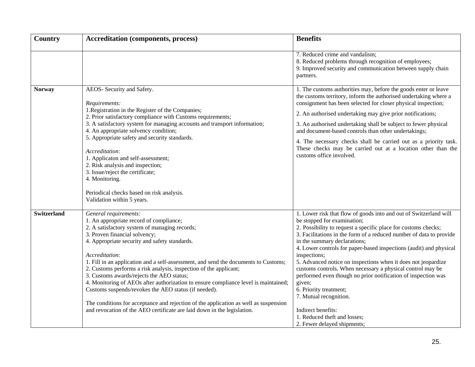| Country            | <b>Accreditation (components, process)</b>                                                                                                                                                                                                                                                                                                                                                                                                                                                                                                                                                                                                                                                                                                       | <b>Benefits</b>                                                                                                                                                                                                                                                                                                                                                                                                                                                                                                                                                                                                                                                                                                    |  |  |
|--------------------|--------------------------------------------------------------------------------------------------------------------------------------------------------------------------------------------------------------------------------------------------------------------------------------------------------------------------------------------------------------------------------------------------------------------------------------------------------------------------------------------------------------------------------------------------------------------------------------------------------------------------------------------------------------------------------------------------------------------------------------------------|--------------------------------------------------------------------------------------------------------------------------------------------------------------------------------------------------------------------------------------------------------------------------------------------------------------------------------------------------------------------------------------------------------------------------------------------------------------------------------------------------------------------------------------------------------------------------------------------------------------------------------------------------------------------------------------------------------------------|--|--|
|                    |                                                                                                                                                                                                                                                                                                                                                                                                                                                                                                                                                                                                                                                                                                                                                  | 7. Reduced crime and vandalism;<br>8. Reduced problems through recognition of employees;<br>9. Improved security and communication between supply chain<br>partners.                                                                                                                                                                                                                                                                                                                                                                                                                                                                                                                                               |  |  |
| <b>Norway</b>      | AEOS- Security and Safety.<br>Requirements:<br>1. Registration in the Register of the Companies;<br>2. Prior satisfactory compliance with Customs requirements;<br>3. A satisfactory system for managing accounts and transport information;<br>4. An appropriate solvency condition;<br>5. Appropriate safety and security standards.<br>Accreditation:<br>1. Applicaton and self-assessment;<br>2. Risk analysis and inspection;<br>3. Issue/reject the certificate;<br>4. Monitoring.<br>Periodical checks based on risk analysis.<br>Validation within 5 years.                                                                                                                                                                              | 1. The customs authorities may, before the goods enter or leave<br>the customs territory, inform the authorised undertaking where a<br>consignment has been selected for closer physical inspection;<br>2. An authorised undertaking may give prior notifications;<br>3. An authorised undertaking shall be subject to fewer physical<br>and document-based controls than other undertakings;<br>4. The necessary checks shall be carried out as a priority task.<br>These checks may be carried out at a location other than the<br>customs office involved.                                                                                                                                                      |  |  |
| <b>Switzerland</b> | General requirements:<br>1. An appropriate record of compliance;<br>2. A satisfactory system of managing records;<br>3. Proven financial solvency;<br>4. Appropriate security and safety standards.<br>Accreditation:<br>1. Fill in an application and a self-assessment, and send the documents to Customs;<br>2. Customs performs a risk analysis, inspection of the applicant;<br>3. Customs awards/rejects the AEO status;<br>4. Monitoring of AEOs after authorization to ensure compliance level is maintained;<br>Customs suspends/revokes the AEO status (if needed).<br>The conditions for acceptance and rejection of the application as well as suspension<br>and revocation of the AEO certificate are laid down in the legislation. | 1. Lower risk that flow of goods into and out of Switzerland will<br>be stopped for examination;<br>2. Possibility to request a specific place for customs checks;<br>3. Facilitations in the form of a reduced number of data to provide<br>in the summary declarations;<br>4. Lower controls for paper-based inspections (audit) and physical<br>inspections;<br>5. Advanced notice on inspections when it does not jeopardize<br>customs controls. When necessary a physical control may be<br>performed even though no prior notification of inspection was<br>given;<br>6. Priority treatment;<br>7. Mutual recognition.<br>Indirect benefits:<br>1. Reduced theft and losses;<br>2. Fewer delayed shipments; |  |  |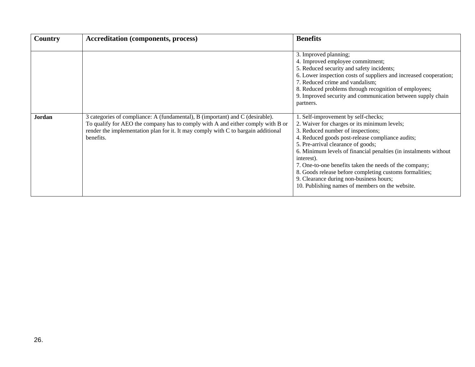| Country | <b>Accreditation (components, process)</b>                                                                                                                                                                                                                         | <b>Benefits</b>                                                                                                                                                                                                                                                                                                                                                                                                                                                                                                         |
|---------|--------------------------------------------------------------------------------------------------------------------------------------------------------------------------------------------------------------------------------------------------------------------|-------------------------------------------------------------------------------------------------------------------------------------------------------------------------------------------------------------------------------------------------------------------------------------------------------------------------------------------------------------------------------------------------------------------------------------------------------------------------------------------------------------------------|
|         |                                                                                                                                                                                                                                                                    | 3. Improved planning;<br>4. Improved employee commitment;<br>5. Reduced security and safety incidents;<br>6. Lower inspection costs of suppliers and increased cooperation;<br>7. Reduced crime and vandalism;<br>8. Reduced problems through recognition of employees;<br>9. Improved security and communication between supply chain<br>partners.                                                                                                                                                                     |
| Jordan  | 3 categories of compliance: A (fundamental), B (important) and C (desirable).<br>To qualify for AEO the company has to comply with A and either comply with B or<br>render the implementation plan for it. It may comply with C to bargain additional<br>benefits. | 1. Self-improvement by self-checks;<br>2. Waiver for charges or its minimum levels;<br>3. Reduced number of inspections;<br>4. Reduced goods post-release compliance audits;<br>5. Pre-arrival clearance of goods;<br>6. Minimum levels of financial penalties (in instalments without<br>interest).<br>7. One-to-one benefits taken the needs of the company;<br>8. Goods release before completing customs formalities;<br>9. Clearance during non-business hours;<br>10. Publishing names of members on the website. |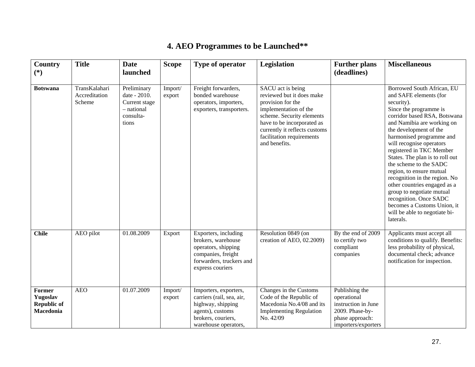# **4. AEO Programmes to be Launched\*\***

| Country<br>$(*)$                                                    | <b>Title</b>                             | <b>Date</b><br>launched                                                          | <b>Scope</b>      | Type of operator                                                                                                                          | Legislation                                                                                                                                                                                                                            | <b>Further plans</b><br>(deadlines)                                                                               | <b>Miscellaneous</b>                                                                                                                                                                                                                                                                                                                                                                                                                                                                                                                                                   |
|---------------------------------------------------------------------|------------------------------------------|----------------------------------------------------------------------------------|-------------------|-------------------------------------------------------------------------------------------------------------------------------------------|----------------------------------------------------------------------------------------------------------------------------------------------------------------------------------------------------------------------------------------|-------------------------------------------------------------------------------------------------------------------|------------------------------------------------------------------------------------------------------------------------------------------------------------------------------------------------------------------------------------------------------------------------------------------------------------------------------------------------------------------------------------------------------------------------------------------------------------------------------------------------------------------------------------------------------------------------|
| <b>Botswana</b>                                                     | TransKalahari<br>Accreditation<br>Scheme | Preliminary<br>date - 2010.<br>Current stage<br>- national<br>consulta-<br>tions | Import/<br>export | Freight forwarders,<br>bonded warehouse<br>operators, importers,<br>exporters, transporters.                                              | SACU act is being<br>reviewed but it does make<br>provision for the<br>implementation of the<br>scheme. Security elements<br>have to be incorporated as<br>currently it reflects customs<br>facilitation requirements<br>and benefits. |                                                                                                                   | Borrowed South African, EU<br>and SAFE elements (for<br>security).<br>Since the programme is<br>corridor based RSA, Botswana<br>and Namibia are working on<br>the development of the<br>harmonised programme and<br>will recognise operators<br>registered in TKC Member<br>States. The plan is to roll out<br>the scheme to the SADC<br>region, to ensure mutual<br>recognition in the region. No<br>other countries engaged as a<br>group to negotiate mutual<br>recognition. Once SADC<br>becomes a Customs Union, it<br>will be able to negotiate bi-<br>laterals. |
| <b>Chile</b>                                                        | AEO pilot                                | 01.08.2009                                                                       | Export            | Exporters, including<br>brokers, warehouse<br>operators, shipping<br>companies, freight<br>forwarders, truckers and<br>express couriers   | Resolution 0849 (on<br>creation of AEO, 02.2009)                                                                                                                                                                                       | By the end of 2009<br>to certify two<br>compliant<br>companies                                                    | Applicants must accept all<br>conditions to qualify. Benefits:<br>less probability of physical,<br>documental check; advance<br>notification for inspection.                                                                                                                                                                                                                                                                                                                                                                                                           |
| <b>Former</b><br>Yugoslav<br><b>Republic of</b><br><b>Macedonia</b> | <b>AEO</b>                               | 01.07.2009                                                                       | Import/<br>export | Importers, exporters,<br>carriers (rail, sea, air,<br>highway, shipping<br>agents), customs<br>brokers, couriers,<br>warehouse operators, | Changes in the Customs<br>Code of the Republic of<br>Macedonia No.4/08 and its<br><b>Implementing Regulation</b><br>No. 42/09                                                                                                          | Publishing the<br>operational<br>instruction in June<br>2009. Phase-by-<br>phase approach:<br>importers/exporters |                                                                                                                                                                                                                                                                                                                                                                                                                                                                                                                                                                        |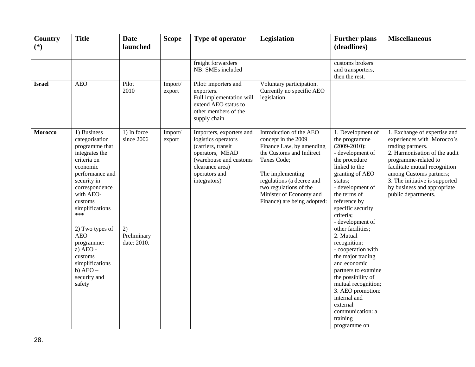| <b>Country</b><br>$(*)$ | <b>Title</b>                                                                                                                                                                                                                                                                                                                        | <b>Date</b><br>launched                                       | <b>Scope</b>      | Type of operator                                                                                                                                                       | Legislation                                                                                                                                                                                                                                                | <b>Further plans</b><br>(deadlines)                                                                                                                                                                                                                                                                                                                                                                                                                                                                                                     | <b>Miscellaneous</b>                                                                                                                                                                                                                                                                         |
|-------------------------|-------------------------------------------------------------------------------------------------------------------------------------------------------------------------------------------------------------------------------------------------------------------------------------------------------------------------------------|---------------------------------------------------------------|-------------------|------------------------------------------------------------------------------------------------------------------------------------------------------------------------|------------------------------------------------------------------------------------------------------------------------------------------------------------------------------------------------------------------------------------------------------------|-----------------------------------------------------------------------------------------------------------------------------------------------------------------------------------------------------------------------------------------------------------------------------------------------------------------------------------------------------------------------------------------------------------------------------------------------------------------------------------------------------------------------------------------|----------------------------------------------------------------------------------------------------------------------------------------------------------------------------------------------------------------------------------------------------------------------------------------------|
|                         |                                                                                                                                                                                                                                                                                                                                     |                                                               |                   | freight forwarders<br>NB: SMEs included                                                                                                                                |                                                                                                                                                                                                                                                            | customs brokers<br>and transporters,<br>then the rest.                                                                                                                                                                                                                                                                                                                                                                                                                                                                                  |                                                                                                                                                                                                                                                                                              |
| <b>Israel</b>           | <b>AEO</b>                                                                                                                                                                                                                                                                                                                          | Pilot<br>2010                                                 | Import/<br>export | Pilot: importers and<br>exporters.<br>Full implementation will<br>extend AEO status to<br>other members of the<br>supply chain                                         | Voluntary participation.<br>Currently no specific AEO<br>legislation                                                                                                                                                                                       |                                                                                                                                                                                                                                                                                                                                                                                                                                                                                                                                         |                                                                                                                                                                                                                                                                                              |
| <b>Morocco</b>          | 1) Business<br>categorisation<br>programme that<br>integrates the<br>criteria on<br>economic<br>performance and<br>security in<br>correspondence<br>with AEO-<br>customs<br>simplifications<br>***<br>2) Two types of<br><b>AEO</b><br>programme:<br>a) AEO -<br>customs<br>simplifications<br>b) $ABO -$<br>security and<br>safety | 1) In force<br>since 2006<br>2)<br>Preliminary<br>date: 2010. | Import/<br>export | Importers, exporters and<br>logistics operators<br>(carriers, transit<br>operators, MEAD<br>(warehouse and customs<br>clearance area)<br>operators and<br>integrators) | Introduction of the AEO<br>concept in the 2009<br>Finance Law, by amending<br>the Customs and Indirect<br>Taxes Code;<br>The implementing<br>regulations (a decree and<br>two regulations of the<br>Minister of Economy and<br>Finance) are being adopted: | 1. Development of<br>the programme<br>$(2009 - 2010)$ :<br>- development of<br>the procedure<br>linked to the<br>granting of AEO<br>status;<br>- development of<br>the terms of<br>reference by<br>specific security<br>criteria;<br>- development of<br>other facilities;<br>2. Mutual<br>recognition:<br>- cooperation with<br>the major trading<br>and economic<br>partners to examine<br>the possibility of<br>mutual recognition;<br>3. AEO promotion:<br>internal and<br>external<br>communication: a<br>training<br>programme on | 1. Exchange of expertise and<br>experiences with Morocco's<br>trading partners.<br>2. Harmonisation of the audit<br>programme-related to<br>facilitate mutual recognition<br>among Customs partners;<br>3. The initiative is supported<br>by business and appropriate<br>public departments. |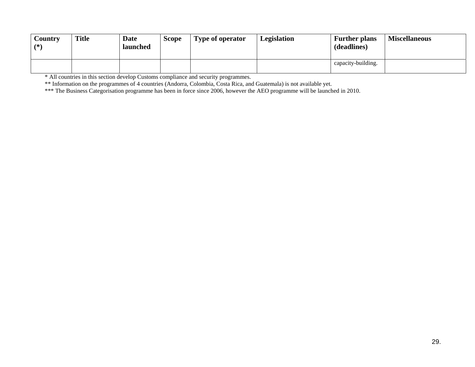| Country<br>$(*)$ | <b>Title</b> | <b>Date</b><br>launched | <b>Scope</b> | <b>Type of operator</b> | Legislation | <b>Further plans</b><br>(deadlines) | <b>Miscellaneous</b> |
|------------------|--------------|-------------------------|--------------|-------------------------|-------------|-------------------------------------|----------------------|
|                  |              |                         |              |                         |             | capacity-building.                  |                      |

\* All countries in this section develop Customs compliance and security programmes.

\*\* Information on the programmes of 4 countries (Andorra, Colombia, Costa Rica, and Guatemala) is not available yet.

\*\*\* The Business Categorisation programme has been in force since 2006, however the AEO programme will be launched in 2010.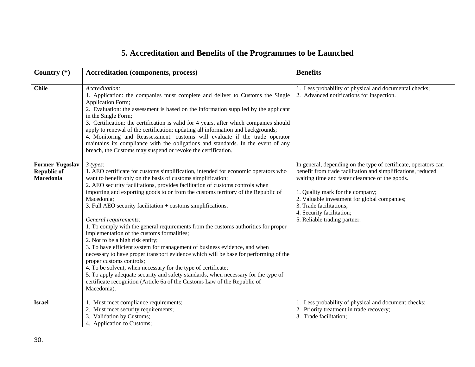# **5. Accreditation and Benefits of the Programmes to be Launched**

| Country $(*)$                                             | <b>Accreditation (components, process)</b>                                                                                                                                                                                                                                                                                                                                                                                                                                                                                                                                                                                                                                                                                                                                                                                                                                                                                                                                                                                                                              | <b>Benefits</b>                                                                                                                                                                                                                                                                                                                                                |
|-----------------------------------------------------------|-------------------------------------------------------------------------------------------------------------------------------------------------------------------------------------------------------------------------------------------------------------------------------------------------------------------------------------------------------------------------------------------------------------------------------------------------------------------------------------------------------------------------------------------------------------------------------------------------------------------------------------------------------------------------------------------------------------------------------------------------------------------------------------------------------------------------------------------------------------------------------------------------------------------------------------------------------------------------------------------------------------------------------------------------------------------------|----------------------------------------------------------------------------------------------------------------------------------------------------------------------------------------------------------------------------------------------------------------------------------------------------------------------------------------------------------------|
| <b>Chile</b>                                              | Accreditation:<br>1. Application: the companies must complete and deliver to Customs the Single<br>Application Form;<br>2. Evaluation: the assessment is based on the information supplied by the applicant<br>in the Single Form;<br>3. Certification: the certification is valid for 4 years, after which companies should<br>apply to renewal of the certification; updating all information and backgrounds;<br>4. Monitoring and Reassessment: customs will evaluate if the trade operator<br>maintains its compliance with the obligations and standards. In the event of any<br>breach, the Customs may suspend or revoke the certification.                                                                                                                                                                                                                                                                                                                                                                                                                     | 1. Less probability of physical and documental checks;<br>2. Advanced notifications for inspection.                                                                                                                                                                                                                                                            |
| <b>Former Yugoslav</b><br><b>Republic of</b><br>Macedonia | 3 types:<br>1. AEO certificate for customs simplification, intended for economic operators who<br>want to benefit only on the basis of customs simplification;<br>2. AEO security facilitations, provides facilitation of customs controls when<br>importing and exporting goods to or from the customs territory of the Republic of<br>Macedonia;<br>3. Full AEO security facilitation + customs simplifications.<br>General requirements:<br>1. To comply with the general requirements from the customs authorities for proper<br>implementation of the customs formalities;<br>2. Not to be a high risk entity;<br>3. To have efficient system for management of business evidence, and when<br>necessary to have proper transport evidence which will be base for performing of the<br>proper customs controls;<br>4. To be solvent, when necessary for the type of certificate;<br>5. To apply adequate security and safety standards, when necessary for the type of<br>certificate recognition (Article 6a of the Customs Law of the Republic of<br>Macedonia). | In general, depending on the type of certificate, operators can<br>benefit from trade facilitation and simplifications, reduced<br>waiting time and faster clearance of the goods.<br>1. Quality mark for the company;<br>2. Valuable investment for global companies;<br>3. Trade facilitations;<br>4. Security facilitation;<br>5. Reliable trading partner. |
| <b>Israel</b>                                             | 1. Must meet compliance requirements;<br>2. Must meet security requirements;<br>3. Validation by Customs;<br>4. Application to Customs;                                                                                                                                                                                                                                                                                                                                                                                                                                                                                                                                                                                                                                                                                                                                                                                                                                                                                                                                 | 1. Less probability of physical and document checks;<br>2. Priority treatment in trade recovery;<br>3. Trade facilitation;                                                                                                                                                                                                                                     |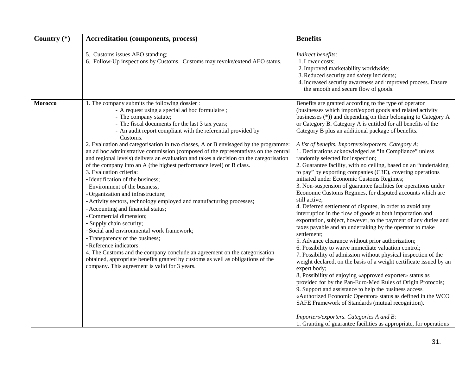| Country $(*)$  | <b>Accreditation (components, process)</b>                                                                                                                                                                                                                                                                                                                                                                                                                                                                                                                                                                                                                                                                                                                                                                                                                                                                                                                                                                                                                                                                                                                                                                                                            | <b>Benefits</b>                                                                                                                                                                                                                                                                                                                                                                                                                                                                                                                                                                                                                                                                                                                                                                                                                                                                                                                                                                                                                                                                                                                                                                                                                                                                                                                                                                                                                                                                                                                                                                                                                                                                                                                                                           |
|----------------|-------------------------------------------------------------------------------------------------------------------------------------------------------------------------------------------------------------------------------------------------------------------------------------------------------------------------------------------------------------------------------------------------------------------------------------------------------------------------------------------------------------------------------------------------------------------------------------------------------------------------------------------------------------------------------------------------------------------------------------------------------------------------------------------------------------------------------------------------------------------------------------------------------------------------------------------------------------------------------------------------------------------------------------------------------------------------------------------------------------------------------------------------------------------------------------------------------------------------------------------------------|---------------------------------------------------------------------------------------------------------------------------------------------------------------------------------------------------------------------------------------------------------------------------------------------------------------------------------------------------------------------------------------------------------------------------------------------------------------------------------------------------------------------------------------------------------------------------------------------------------------------------------------------------------------------------------------------------------------------------------------------------------------------------------------------------------------------------------------------------------------------------------------------------------------------------------------------------------------------------------------------------------------------------------------------------------------------------------------------------------------------------------------------------------------------------------------------------------------------------------------------------------------------------------------------------------------------------------------------------------------------------------------------------------------------------------------------------------------------------------------------------------------------------------------------------------------------------------------------------------------------------------------------------------------------------------------------------------------------------------------------------------------------------|
|                | 5. Customs issues AEO standing;<br>6. Follow-Up inspections by Customs. Customs may revoke/extend AEO status.                                                                                                                                                                                                                                                                                                                                                                                                                                                                                                                                                                                                                                                                                                                                                                                                                                                                                                                                                                                                                                                                                                                                         | Indirect benefits:<br>1. Lower costs;<br>2. Improved marketability worldwide;<br>3. Reduced security and safety incidents;<br>4. Increased security awareness and improved process. Ensure<br>the smooth and secure flow of goods.                                                                                                                                                                                                                                                                                                                                                                                                                                                                                                                                                                                                                                                                                                                                                                                                                                                                                                                                                                                                                                                                                                                                                                                                                                                                                                                                                                                                                                                                                                                                        |
| <b>Morocco</b> | 1. The company submits the following dossier :<br>- A request using a special ad hoc formulaire;<br>- The company statute;<br>- The fiscal documents for the last 3 tax years;<br>- An audit report compliant with the referential provided by<br>Customs.<br>2. Evaluation and categorisation in two classes, A or B envisaged by the programme:<br>an ad hoc administrative commission (composed of the representatives on the central<br>and regional levels) delivers an evaluation and takes a decision on the categorisation<br>of the company into an A (the highest performance level) or B class.<br>3. Evaluation criteria:<br>- Identification of the business;<br>- Environment of the business;<br>- Organization and infrastructure;<br>- Activity sectors, technology employed and manufacturing processes;<br>- Accounting and financial status;<br>- Commercial dimension;<br>- Supply chain security;<br>- Social and environmental work framework;<br>- Transparency of the business;<br>- Reference indicators.<br>4. The Customs and the company conclude an agreement on the categorisation<br>obtained, appropriate benefits granted by customs as well as obligations of the<br>company. This agreement is valid for 3 years. | Benefits are granted according to the type of operator<br>(businesses which import/export goods and related activity<br>businesses (*)) and depending on their belonging to Category A<br>or Category B. Category A is entitled for all benefits of the<br>Category B plus an additional package of benefits.<br>A list of benefits. Importers/exporters, Category A:<br>1. Declarations acknowledged as "In Compliance" unless<br>randomly selected for inspection;<br>2. Guarantee facility, with no ceiling, based on an "undertaking<br>to pay" by exporting companies (C3E), covering operations<br>initiated under Economic Customs Regimes;<br>3. Non-suspension of guarantee facilities for operations under<br>Economic Customs Regimes, for disputed accounts which are<br>still active;<br>4. Deferred settlement of disputes, in order to avoid any<br>interruption in the flow of goods at both importation and<br>exportation, subject, however, to the payment of any duties and<br>taxes payable and an undertaking by the operator to make<br>settlement;<br>5. Advance clearance without prior authorization;<br>6. Possibility to waive immediate valuation control;<br>7. Possibility of admission without physical inspection of the<br>weight declared, on the basis of a weight certificate issued by an<br>expert body;<br>8, Possibility of enjoying «approved exporter» status as<br>provided for by the Pan-Euro-Med Rules of Origin Protocols;<br>9. Support and assistance to help the business access<br>«Authorized Economic Operator» status as defined in the WCO<br>SAFE Framework of Standards (mutual recognition).<br>Importers/exporters. Categories A and B:<br>1. Granting of guarantee facilities as appropriate, for operations |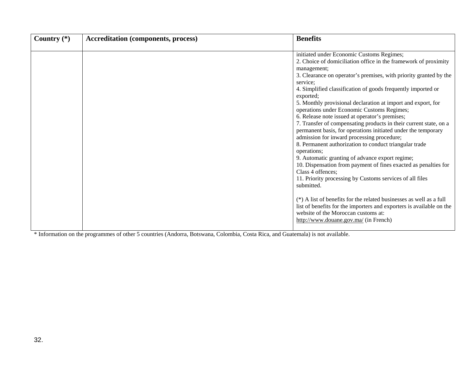| Country $(*)$ | <b>Accreditation (components, process)</b> | <b>Benefits</b>                                                                                                                                                                                                                                                                                                                                                                                                                                                                                                                                                                                                                                                                                                                                                                                                                                                                                                                             |
|---------------|--------------------------------------------|---------------------------------------------------------------------------------------------------------------------------------------------------------------------------------------------------------------------------------------------------------------------------------------------------------------------------------------------------------------------------------------------------------------------------------------------------------------------------------------------------------------------------------------------------------------------------------------------------------------------------------------------------------------------------------------------------------------------------------------------------------------------------------------------------------------------------------------------------------------------------------------------------------------------------------------------|
|               |                                            | initiated under Economic Customs Regimes;<br>2. Choice of domiciliation office in the framework of proximity<br>management;<br>3. Clearance on operator's premises, with priority granted by the<br>service;<br>4. Simplified classification of goods frequently imported or<br>exported;<br>5. Monthly provisional declaration at import and export, for<br>operations under Economic Customs Regimes;<br>6. Release note issued at operator's premises;<br>7. Transfer of compensating products in their current state, on a<br>permanent basis, for operations initiated under the temporary<br>admission for inward processing procedure;<br>8. Permanent authorization to conduct triangular trade<br>operations;<br>9. Automatic granting of advance export regime;<br>10. Dispensation from payment of fines exacted as penalties for<br>Class 4 offences;<br>11. Priority processing by Customs services of all files<br>submitted. |
|               |                                            | ( $*$ ) A list of benefits for the related businesses as well as a full<br>list of benefits for the importers and exporters is available on the<br>website of the Moroccan customs at:<br>http://www.douane.gov.ma/ (in French)                                                                                                                                                                                                                                                                                                                                                                                                                                                                                                                                                                                                                                                                                                             |

\* Information on the programmes of other 5 countries (Andorra, Botswana, Colombia, Costa Rica, and Guatemala) is not available.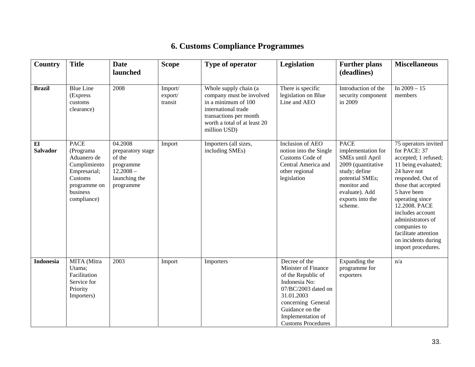# **6. Customs Compliance Programmes**

| Country               | <b>Title</b>                                                                                                                         | <b>Date</b><br>launched                                                                          | <b>Scope</b>                  | Type of operator                                                                                                                                                          | Legislation                                                                                                                                                                                                 | <b>Further plans</b><br>(deadlines)                                                                                                                                                    | <b>Miscellaneous</b>                                                                                                                                                                                                                                                                                                            |
|-----------------------|--------------------------------------------------------------------------------------------------------------------------------------|--------------------------------------------------------------------------------------------------|-------------------------------|---------------------------------------------------------------------------------------------------------------------------------------------------------------------------|-------------------------------------------------------------------------------------------------------------------------------------------------------------------------------------------------------------|----------------------------------------------------------------------------------------------------------------------------------------------------------------------------------------|---------------------------------------------------------------------------------------------------------------------------------------------------------------------------------------------------------------------------------------------------------------------------------------------------------------------------------|
| <b>Brazil</b>         | <b>Blue Line</b><br>(Express<br>customs<br>clearance)                                                                                | 2008                                                                                             | Import/<br>export/<br>transit | Whole supply chain (a<br>company must be involved<br>in a minimum of 100<br>international trade<br>transactions per month<br>worth a total of at least 20<br>million USD) | There is specific<br>legislation on Blue<br>Line and AEO                                                                                                                                                    | Introduction of the<br>security component<br>in 2009                                                                                                                                   | In $2009 - 15$<br>members                                                                                                                                                                                                                                                                                                       |
| E1<br><b>Salvador</b> | <b>PACE</b><br>(Programa<br>Aduanero de<br>Cumplimiento<br>Empresarial;<br>Customs<br>programme on<br><b>business</b><br>compliance) | 04.2008<br>preparatory stage<br>of the<br>programme<br>$12.2008 -$<br>launching the<br>programme | Import                        | Importers (all sizes,<br>including SMEs)                                                                                                                                  | Inclusion of AEO<br>notion into the Single<br>Customs Code of<br>Central America and<br>other regional<br>legislation                                                                                       | <b>PACE</b><br>implementation for<br><b>SMEs until April</b><br>2009 (quantitative<br>study; define<br>potential SMEs;<br>monitor and<br>evaluate). Add<br>exports into the<br>scheme. | 75 operators invited<br>for PACE: 37<br>accepted; 1 refused;<br>11 being evaluated;<br>24 have not<br>responded. Out of<br>those that accepted<br>5 have been<br>operating since<br>12.2008. PACE<br>includes account<br>administrators of<br>companies to<br>facilitate attention<br>on incidents during<br>import procedures. |
| <b>Indonesia</b>      | MITA (Mitra<br>Utama;<br>Facilitation<br>Service for<br>Priority<br>Importers)                                                       | 2003                                                                                             | Import                        | Importers                                                                                                                                                                 | Decree of the<br>Minister of Finance<br>of the Republic of<br>Indonesia No:<br>07/BC/2003 dated on<br>31.01.2003<br>concerning General<br>Guidance on the<br>Implementation of<br><b>Customs Procedures</b> | Expanding the<br>programme for<br>exporters                                                                                                                                            | n/a                                                                                                                                                                                                                                                                                                                             |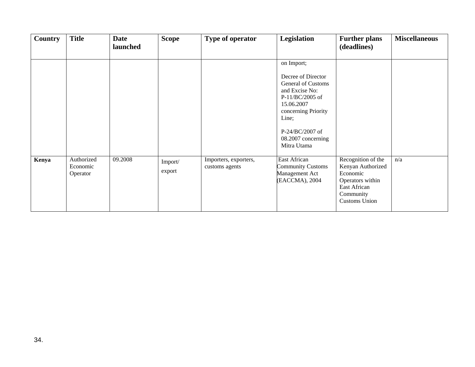| <b>Country</b> | <b>Title</b>                       | <b>Date</b><br>launched | <b>Scope</b>      | Type of operator                        | Legislation                                                                                                                                                                                         | <b>Further plans</b><br>(deadlines)                                                                                          | <b>Miscellaneous</b> |
|----------------|------------------------------------|-------------------------|-------------------|-----------------------------------------|-----------------------------------------------------------------------------------------------------------------------------------------------------------------------------------------------------|------------------------------------------------------------------------------------------------------------------------------|----------------------|
|                |                                    |                         |                   |                                         | on Import;<br>Decree of Director<br>General of Customs<br>and Excise No:<br>P-11/BC/2005 of<br>15.06.2007<br>concerning Priority<br>Line;<br>$P-24/BC/2007$ of<br>08.2007 concerning<br>Mitra Utama |                                                                                                                              |                      |
| Kenya          | Authorized<br>Economic<br>Operator | 09.2008                 | Import/<br>export | Importers, exporters,<br>customs agents | East African<br><b>Community Customs</b><br>Management Act<br>(EACCMA), 2004                                                                                                                        | Recognition of the<br>Kenyan Authorized<br>Economic<br>Operators within<br>East African<br>Community<br><b>Customs Union</b> | n/a                  |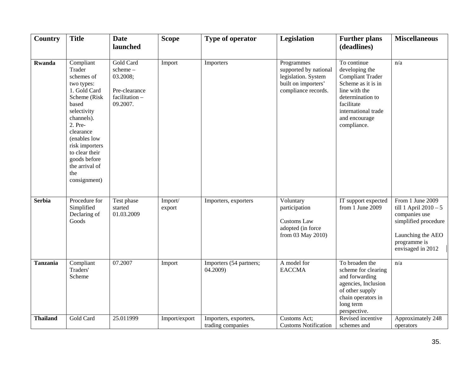| <b>Country</b>  | <b>Title</b>                                                                                                                                                                                                                                               | <b>Date</b><br>launched                                                        | <b>Scope</b>      | Type of operator                           | Legislation                                                                                              | <b>Further plans</b><br>(deadlines)                                                                                                                                                      | <b>Miscellaneous</b>                                                                                                                           |
|-----------------|------------------------------------------------------------------------------------------------------------------------------------------------------------------------------------------------------------------------------------------------------------|--------------------------------------------------------------------------------|-------------------|--------------------------------------------|----------------------------------------------------------------------------------------------------------|------------------------------------------------------------------------------------------------------------------------------------------------------------------------------------------|------------------------------------------------------------------------------------------------------------------------------------------------|
| <b>Rwanda</b>   | Compliant<br>Trader<br>schemes of<br>two types:<br>1. Gold Card<br>Scheme (Risk<br>based<br>selectivity<br>channels).<br>2. Pre-<br>clearance<br>(enables low<br>risk importers<br>to clear their<br>goods before<br>the arrival of<br>the<br>consignment) | Gold Card<br>scheme-<br>03.2008;<br>Pre-clearance<br>facilitation-<br>09.2007. | Import            | Importers                                  | Programmes<br>supported by national<br>legislation. System<br>built on importers'<br>compliance records. | To continue<br>developing the<br><b>Compliant Trader</b><br>Scheme as it is in<br>line with the<br>determination to<br>facilitate<br>international trade<br>and encourage<br>compliance. | n/a                                                                                                                                            |
| <b>Serbia</b>   | Procedure for<br>Simplified<br>Declaring of<br>Goods                                                                                                                                                                                                       | Test phase<br>started<br>01.03.2009                                            | Import/<br>export | Importers, exporters                       | Voluntary<br>participation<br><b>Customs Law</b><br>adopted (in force<br>from 03 May 2010)               | IT support expected<br>from 1 June 2009                                                                                                                                                  | From 1 June 2009<br>till 1 April $2010 - 5$<br>companies use<br>simplified procedure<br>Launching the AEO<br>programme is<br>envisaged in 2012 |
| <b>Tanzania</b> | Compliant<br>Traders'<br>Scheme                                                                                                                                                                                                                            | 07.2007                                                                        | Import            | Importers (54 partners;<br>04.2009)        | A model for<br><b>EACCMA</b>                                                                             | To broaden the<br>scheme for clearing<br>and forwarding<br>agencies, Inclusion<br>of other supply<br>chain operators in<br>long term<br>perspective.                                     | n/a                                                                                                                                            |
| <b>Thailand</b> | Gold Card                                                                                                                                                                                                                                                  | 25.011999                                                                      | Import/export     | Importers, exporters,<br>trading companies | Customs Act;<br><b>Customs Notification</b>                                                              | Revised incentive<br>schemes and                                                                                                                                                         | Approximately 248<br>operators                                                                                                                 |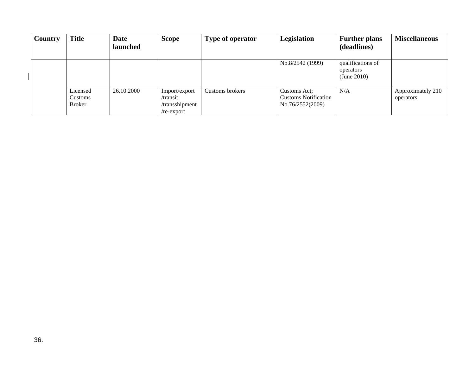| Country | <b>Title</b>                         | Date<br>launched | <b>Scope</b>                                              | Type of operator | Legislation                                                     | <b>Further plans</b><br>(deadlines)           | <b>Miscellaneous</b>           |
|---------|--------------------------------------|------------------|-----------------------------------------------------------|------------------|-----------------------------------------------------------------|-----------------------------------------------|--------------------------------|
|         |                                      |                  |                                                           |                  | No.8/2542 (1999)                                                | qualifications of<br>operators<br>(June 2010) |                                |
|         | Licensed<br>Customs<br><b>Broker</b> | 26.10.2000       | Import/export<br>/transit<br>/transshipment<br>/re-export | Customs brokers  | Customs Act;<br><b>Customs Notification</b><br>No.76/2552(2009) | N/A                                           | Approximately 210<br>operators |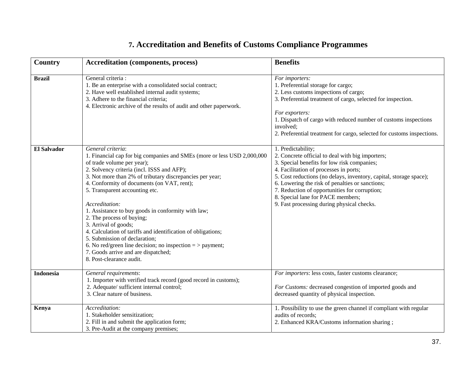# **7. Accreditation and Benefits of Customs Compliance Programmes**

| Country            | <b>Accreditation (components, process)</b>                                                                                                                                                                                                                                                                                                                                                                                                                                                                                                                                                                                                                                           | <b>Benefits</b>                                                                                                                                                                                                                                                                                                                                                                                                              |
|--------------------|--------------------------------------------------------------------------------------------------------------------------------------------------------------------------------------------------------------------------------------------------------------------------------------------------------------------------------------------------------------------------------------------------------------------------------------------------------------------------------------------------------------------------------------------------------------------------------------------------------------------------------------------------------------------------------------|------------------------------------------------------------------------------------------------------------------------------------------------------------------------------------------------------------------------------------------------------------------------------------------------------------------------------------------------------------------------------------------------------------------------------|
| <b>Brazil</b>      | General criteria :<br>1. Be an enterprise with a consolidated social contract;<br>2. Have well established internal audit systems;<br>3. Adhere to the financial criteria;<br>4. Electronic archive of the results of audit and other paperwork.                                                                                                                                                                                                                                                                                                                                                                                                                                     | For importers:<br>1. Preferential storage for cargo;<br>2. Less customs inspections of cargo;<br>3. Preferential treatment of cargo, selected for inspection.<br>For exporters:<br>1. Dispatch of cargo with reduced number of customs inspections<br>involved;<br>2. Preferential treatment for cargo, selected for customs inspections.                                                                                    |
| <b>El Salvador</b> | General criteria:<br>1. Financial cap for big companies and SMEs (more or less USD 2,000,000<br>of trade volume per year);<br>2. Solvency criteria (incl. ISSS and AFP);<br>3. Not more than 2% of tributary discrepancies per year;<br>4. Conformity of documents (on VAT, rent);<br>5. Transparent accounting etc.<br>Accreditation:<br>1. Assistance to buy goods in conformity with law;<br>2. The process of buying;<br>3. Arrival of goods;<br>4. Calculation of tariffs and identification of obligations;<br>5. Submission of declaration;<br>6. No red/green line decision; no inspection $=$ > payment;<br>7. Goods arrive and are dispatched;<br>8. Post-clearance audit. | 1. Predictability;<br>2. Concrete official to deal with big importers;<br>3. Special benefits for low risk companies;<br>4. Facilitation of processes in ports;<br>5. Cost reductions (no delays, inventory, capital, storage space);<br>6. Lowering the risk of penalties or sanctions;<br>7. Reduction of opportunities for corruption;<br>8. Special lane for PACE members;<br>9. Fast processing during physical checks. |
| <b>Indonesia</b>   | General requirements:<br>1. Importer with verified track record (good record in customs);<br>2. Adequate/ sufficient internal control;<br>3. Clear nature of business.                                                                                                                                                                                                                                                                                                                                                                                                                                                                                                               | For importers: less costs, faster customs clearance;<br>For Customs: decreased congestion of imported goods and<br>decreased quantity of physical inspection.                                                                                                                                                                                                                                                                |
| Kenya              | Accreditation:<br>1. Stakeholder sensitization;<br>2. Fill in and submit the application form;<br>3. Pre-Audit at the company premises;                                                                                                                                                                                                                                                                                                                                                                                                                                                                                                                                              | 1. Possibility to use the green channel if compliant with regular<br>audits of records;<br>2. Enhanced KRA/Customs information sharing;                                                                                                                                                                                                                                                                                      |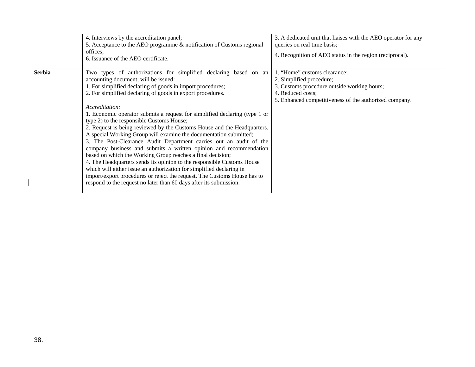|               | 4. Interviews by the accreditation panel;<br>5. Acceptance to the AEO programme & notification of Customs regional<br>offices:<br>6. Issuance of the AEO certificate.                                                                                                                                                                                                                                                                                                                                                                                                                                                                                                                                                                                                                                                                                                                                                                                                                                                                          | 3. A dedicated unit that liaises with the AEO operator for any<br>queries on real time basis;<br>4. Recognition of AEO status in the region (reciprocal).                              |
|---------------|------------------------------------------------------------------------------------------------------------------------------------------------------------------------------------------------------------------------------------------------------------------------------------------------------------------------------------------------------------------------------------------------------------------------------------------------------------------------------------------------------------------------------------------------------------------------------------------------------------------------------------------------------------------------------------------------------------------------------------------------------------------------------------------------------------------------------------------------------------------------------------------------------------------------------------------------------------------------------------------------------------------------------------------------|----------------------------------------------------------------------------------------------------------------------------------------------------------------------------------------|
| <b>Serbia</b> | Two types of authorizations for simplified declaring based on an<br>accounting document, will be issued:<br>1. For simplified declaring of goods in import procedures;<br>2. For simplified declaring of goods in export procedures.<br>Accreditation:<br>1. Economic operator submits a request for simplified declaring (type 1 or<br>type 2) to the responsible Customs House;<br>2. Request is being reviewed by the Customs House and the Headquarters.<br>A special Working Group will examine the documentation submitted;<br>3. The Post-Clearance Audit Department carries out an audit of the<br>company business and submits a written opinion and recommendation<br>based on which the Working Group reaches a final decision;<br>4. The Headquarters sends its opinion to the responsible Customs House<br>which will either issue an authorization for simplified declaring in<br>import/export procedures or reject the request. The Customs House has to<br>respond to the request no later than 60 days after its submission. | 1. "Home" customs clearance;<br>2. Simplified procedure;<br>3. Customs procedure outside working hours;<br>4. Reduced costs;<br>5. Enhanced competitiveness of the authorized company. |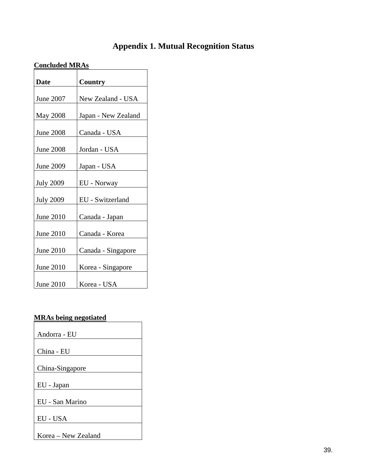# **Appendix 1. Mutual Recognition Status**

### **Concluded MRAs**

| <b>Date</b>      | Country             |
|------------------|---------------------|
|                  |                     |
| June 2007        | New Zealand - USA   |
|                  |                     |
| <b>May 2008</b>  | Japan - New Zealand |
|                  |                     |
| <b>June 2008</b> | Canada - USA        |
|                  |                     |
| <b>June 2008</b> | Jordan - USA        |
|                  |                     |
| June 2009        | Japan - USA         |
|                  |                     |
| <b>July 2009</b> | EU - Norway         |
|                  |                     |
| <b>July 2009</b> | EU - Switzerland    |
|                  |                     |
| June 2010        | Canada - Japan      |
|                  |                     |
| June 2010        | Canada - Korea      |
|                  |                     |
| June 2010        | Canada - Singapore  |
|                  |                     |
| <b>June 2010</b> | Korea - Singapore   |
|                  |                     |
| June 2010        | Korea - USA         |

# **MRAs being negotiated**

| Andorra - EU        |
|---------------------|
|                     |
| China - EU          |
|                     |
| China-Singapore     |
|                     |
| EU - Japan          |
|                     |
| EU - San Marino     |
|                     |
| EU - USA            |
|                     |
| Korea – New Zealand |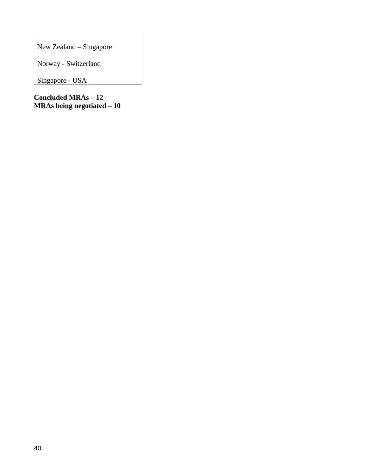New Zealand – Singapore

Norway - Switzerland

Singapore - USA

**Concluded MRAs – 12 MRAs being negotiated – 10**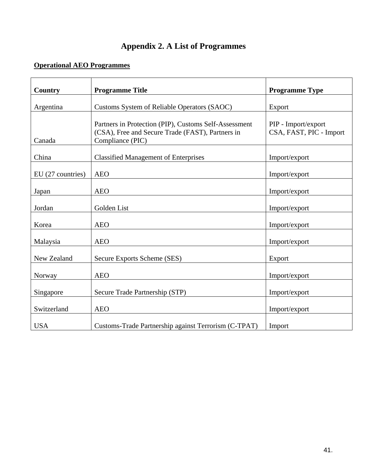### **Appendix 2. A List of Programmes**

### **Operational AEO Programmes**

| <b>Country</b>    | <b>Programme Title</b>                                                                                                        | <b>Programme Type</b>                          |
|-------------------|-------------------------------------------------------------------------------------------------------------------------------|------------------------------------------------|
| Argentina         | Customs System of Reliable Operators (SAOC)                                                                                   | Export                                         |
| Canada            | Partners in Protection (PIP), Customs Self-Assessment<br>(CSA), Free and Secure Trade (FAST), Partners in<br>Compliance (PIC) | PIP - Import/export<br>CSA, FAST, PIC - Import |
| China             | <b>Classified Management of Enterprises</b>                                                                                   | Import/export                                  |
| EU (27 countries) | <b>AEO</b>                                                                                                                    | Import/export                                  |
| Japan             | <b>AEO</b>                                                                                                                    | Import/export                                  |
| Jordan            | Golden List                                                                                                                   | Import/export                                  |
| Korea             | <b>AEO</b>                                                                                                                    | Import/export                                  |
| Malaysia          | <b>AEO</b>                                                                                                                    | Import/export                                  |
| New Zealand       | Secure Exports Scheme (SES)                                                                                                   | Export                                         |
| Norway            | <b>AEO</b>                                                                                                                    | Import/export                                  |
| Singapore         | Secure Trade Partnership (STP)                                                                                                | Import/export                                  |
| Switzerland       | <b>AEO</b>                                                                                                                    | Import/export                                  |
| <b>USA</b>        | Customs-Trade Partnership against Terrorism (C-TPAT)                                                                          | Import                                         |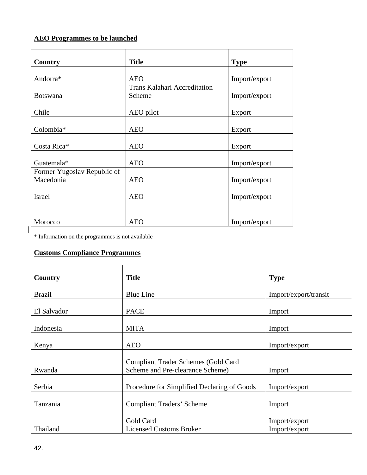### **AEO Programmes to be launched**

| Country                     | <b>Title</b>                        | <b>Type</b>   |
|-----------------------------|-------------------------------------|---------------|
|                             |                                     |               |
| Andorra*                    | <b>AEO</b>                          | Import/export |
|                             | <b>Trans Kalahari Accreditation</b> |               |
| <b>Botswana</b>             | Scheme                              | Import/export |
| Chile                       | AEO pilot                           | Export        |
| Colombia*                   | <b>AEO</b>                          | Export        |
| Costa Rica*                 | <b>AEO</b>                          | Export        |
| Guatemala*                  | <b>AEO</b>                          | Import/export |
| Former Yugoslav Republic of |                                     |               |
| Macedonia                   | <b>AEO</b>                          | Import/export |
| <b>Israel</b>               | <b>AEO</b>                          | Import/export |
|                             |                                     |               |
| Morocco                     | <b>AEO</b>                          | Import/export |

\* Information on the programmes is not available

### **Customs Compliance Programmes**

| Country       | <b>Title</b>                                | <b>Type</b>           |
|---------------|---------------------------------------------|-----------------------|
|               |                                             |                       |
| <b>Brazil</b> | <b>Blue Line</b>                            | Import/export/transit |
| El Salvador   | <b>PACE</b>                                 | Import                |
| Indonesia     | <b>MITA</b>                                 | Import                |
| Kenya         | <b>AEO</b>                                  | Import/export         |
|               | <b>Compliant Trader Schemes (Gold Card</b>  |                       |
| Rwanda        | Scheme and Pre-clearance Scheme)            | Import                |
| Serbia        | Procedure for Simplified Declaring of Goods | Import/export         |
| Tanzania      | <b>Compliant Traders' Scheme</b>            | Import                |
|               | Gold Card                                   | Import/export         |
| Thailand      | <b>Licensed Customs Broker</b>              | Import/export         |

 $\overline{\phantom{a}}$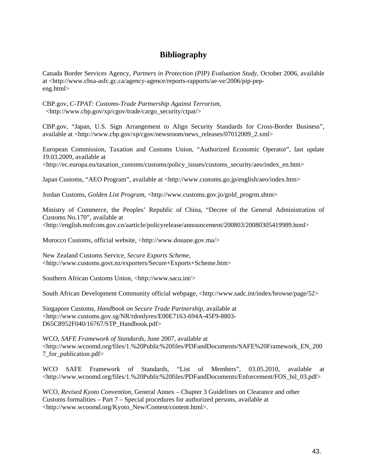### **Bibliography**

Canada Border Services Agency, *Partners in Protection (PIP) Evaluation Study*, October 2006, available at <http://www.cbsa-asfc.gc.ca/agency-agence/reports-rapports/ae-ve/2006/pip-pepeng.html>

CBP.gov, *C-TPAT: Customs-Trade Partnership Against Terrorism*, <http://www.cbp.gov/xp/cgov/trade/cargo\_security/ctpat/>

CBP.gov, "Japan, U.S. Sign Arrangement to Align Security Standards for Cross-Border Business", available at <http://www.cbp.gov/xp/cgov/newsroom/news\_releases/07012009\_2.xml>

European Commission, Taxation and Customs Union, "Authorized Economic Operator", last update 19.03.2009, available at <http://ec.europa.eu/taxation\_customs/customs/policy\_issues/customs\_security/aeo/index\_en.htm>

Japan Customs, "AEO Program", available at <http://www.customs.go.jp/english/aeo/index.htm>

Jordan Customs, *Golden List Program*, <http://www.customs.gov.jo/gold\_progrm.shtm>

Ministry of Commerce, the Peoples' Republic of China, "Decree of the General Administration of Customs No.170", available at <http://english.mofcom.gov.cn/aarticle/policyrelease/announcement/200803/20080305419989.html>

Morocco Customs, official website, <http://www.douane.gov.ma/>

New Zealand Customs Service, *Secure Exports Scheme*, <http://www.customs.govt.nz/exporters/Secure+Exports+Scheme.htm>

Southern African Customs Union, <http://www.sacu.int/>

South African Development Community official webpage, <http://www.sadc.int/index/browse/page/52>

Singapore Customs*, Handbook on Secure Trade Partnership*, available at <http://www.customs.gov.sg/NR/rdonlyres/E00E7163-694A-45F9-8803- D65C8952F040/16767/STP\_Handbook.pdf>

WCO, *SAFE Framework of Standards*, June 2007, available at <http://www.wcoomd.org/files/1.%20Public%20files/PDFandDocuments/SAFE%20Framework\_EN\_200 7\_for\_publication.pdf>

WCO SAFE Framework of Standards, "List of Members", 03.05.2010, available at <http://www.wcoomd.org/files/1.%20Public%20files/PDFandDocuments/Enforcement/FOS\_bil\_03.pdf>

WCO, *Revised Kyoto Convention*, General Annex – Chapter 3 Guidelines on Clearance and other Customs formalities – Part 7 – Special procedures for authorized persons, available at <http://www.wcoomd.org/Kyoto\_New/Content/content.html>.